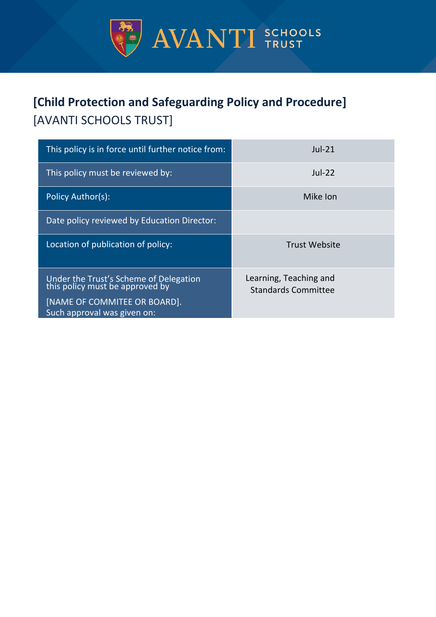

# **[Child Protection and Safeguarding Policy and Procedure]** [AVANTI SCHOOLS TRUST]

| This policy is in force until further notice from:                        | $Jul-21$                                             |
|---------------------------------------------------------------------------|------------------------------------------------------|
| This policy must be reviewed by:                                          | $Jul-22$                                             |
| <b>Policy Author(s):</b>                                                  | Mike Ion                                             |
| Date policy reviewed by Education Director:                               |                                                      |
| Location of publication of policy:                                        | <b>Trust Website</b>                                 |
| Under the Trust's Scheme of Delegation<br>this policy must be approved by | Learning, Teaching and<br><b>Standards Committee</b> |
| [NAME OF COMMITEE OR BOARD].<br>Such approval was given on:               |                                                      |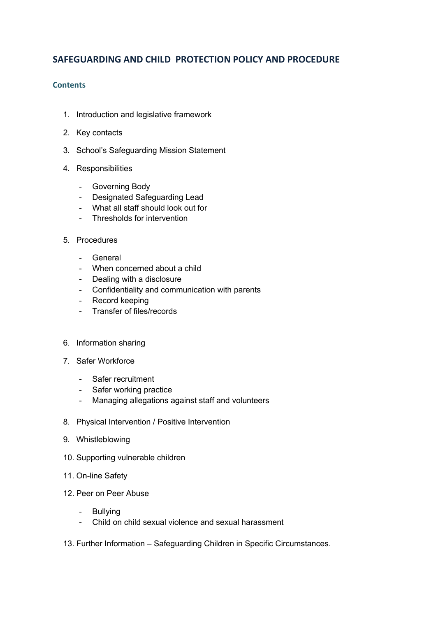# **SAFEGUARDING AND CHILD PROTECTION POLICY AND PROCEDURE**

#### **Contents**

- 1. Introduction and legislative framework
- 2. Key contacts
- 3. School's Safeguarding Mission Statement
- 4. Responsibilities
	- Governing Body
	- Designated Safeguarding Lead
	- What all staff should look out for
	- Thresholds for intervention
- 5. Procedures
	- General
	- When concerned about a child
	- Dealing with a disclosure
	- Confidentiality and communication with parents
	- Record keeping
	- Transfer of files/records
- 6. Information sharing
- 7. Safer Workforce
	- Safer recruitment
	- Safer working practice
	- Managing allegations against staff and volunteers
- 8. Physical Intervention / Positive Intervention
- 9. Whistleblowing
- 10. Supporting vulnerable children
- 11. On-line Safety
- 12. Peer on Peer Abuse
	- Bullying
	- Child on child sexual violence and sexual harassment
- 13. Further Information Safeguarding Children in Specific Circumstances.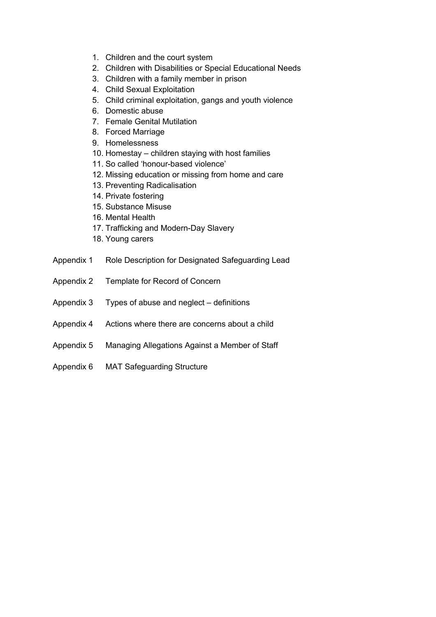- 1. Children and the court system
- 2. Children with Disabilities or Special Educational Needs
- 3. Children with a family member in prison
- 4. Child Sexual Exploitation
- 5. Child criminal exploitation, gangs and youth violence
- 6. Domestic abuse
- 7. Female Genital Mutilation
- 8. Forced Marriage
- 9. Homelessness
- 10. Homestay children staying with host families
- 11. So called 'honour-based violence'
- 12. Missing education or missing from home and care
- 13. Preventing Radicalisation
- 14. Private fostering
- 15. Substance Misuse
- 16. Mental Health
- 17. Trafficking and Modern-Day Slavery
- 18. Young carers
- Appendix 1 Role Description for Designated Safeguarding Lead
- Appendix 2 Template for Record of Concern
- Appendix 3 Types of abuse and neglect definitions
- Appendix 4 Actions where there are concerns about a child
- Appendix 5 Managing Allegations Against a Member of Staff
- Appendix 6 MAT Safeguarding Structure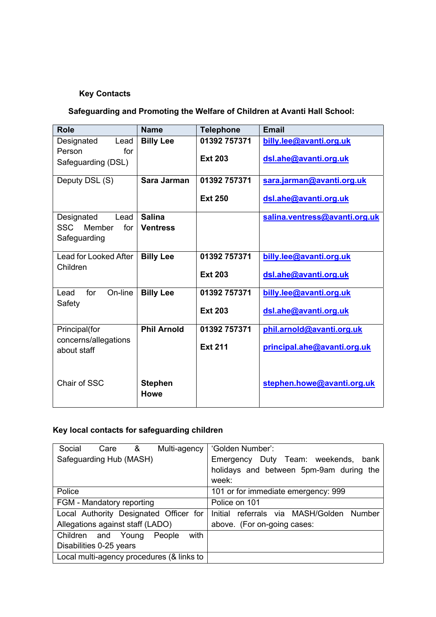# **Key Contacts**

# **Safeguarding and Promoting the Welfare of Children at Avanti Hall School:**

| <b>Role</b>                                          | <b>Name</b>                   | <b>Telephone</b> | <b>Email</b>                  |
|------------------------------------------------------|-------------------------------|------------------|-------------------------------|
| Designated<br>Lead                                   | <b>Billy Lee</b>              | 01392 757371     | billy.lee@avanti.org.uk       |
| for<br>Person                                        |                               | <b>Ext 203</b>   | dsl.ahe@avanti.org.uk         |
| Safeguarding (DSL)                                   |                               |                  |                               |
| Deputy DSL (S)                                       | Sara Jarman                   | 01392 757371     | sara.jarman@avanti.org.uk     |
|                                                      |                               | <b>Ext 250</b>   | dsl.ahe@avanti.org.uk         |
| Designated<br>Lead                                   | <b>Salina</b>                 |                  | salina.ventress@avanti.org.uk |
| SSC Member<br>for                                    | <b>Ventress</b>               |                  |                               |
| Safeguarding                                         |                               |                  |                               |
| Lead for Looked After<br>Children                    | <b>Billy Lee</b>              | 01392 757371     | billy.lee@avanti.org.uk       |
|                                                      |                               | <b>Ext 203</b>   | dsl.ahe@avanti.org.uk         |
| for<br>On-line<br>Lead<br>Safety                     | <b>Billy Lee</b>              | 01392 757371     | billy.lee@avanti.org.uk       |
|                                                      |                               |                  |                               |
|                                                      |                               | <b>Ext 203</b>   | dsl.ahe@avanti.org.uk         |
| Principal(for<br>concerns/allegations<br>about staff | <b>Phil Arnold</b>            | 01392 757371     | phil.arnold@avanti.org.uk     |
|                                                      |                               | <b>Ext 211</b>   | principal.ahe@avanti.org.uk   |
|                                                      |                               |                  |                               |
| Chair of SSC                                         | <b>Stephen</b><br><b>Howe</b> |                  | stephen.howe@avanti.org.uk    |

# **Key local contacts for safeguarding children**

| Social<br>&<br>Multi-agency<br>Care       | 'Golden Number':                         |
|-------------------------------------------|------------------------------------------|
| Safeguarding Hub (MASH)                   | Emergency Duty Team: weekends, bank      |
|                                           | holidays and between 5pm-9am during the  |
|                                           | week:                                    |
| Police                                    | 101 or for immediate emergency: 999      |
| FGM - Mandatory reporting                 | Police on 101                            |
| Local Authority Designated Officer for    | Initial referrals via MASH/Golden Number |
| Allegations against staff (LADO)          | above. (For on-going cases:              |
| with<br>Children and Young<br>People      |                                          |
| Disabilities 0-25 years                   |                                          |
| Local multi-agency procedures (& links to |                                          |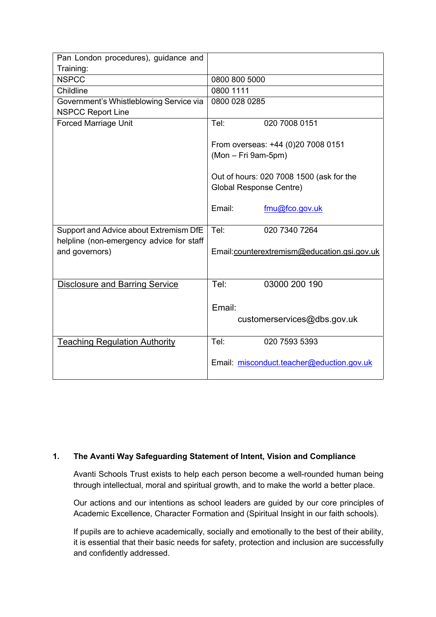| Pan London procedures), guidance and     |                                             |
|------------------------------------------|---------------------------------------------|
| Training:                                |                                             |
| <b>NSPCC</b>                             | 0800 800 5000                               |
| Childline                                | 0800 1111                                   |
| Government's Whistleblowing Service via  | 0800 028 0285                               |
| <b>NSPCC Report Line</b>                 |                                             |
| <b>Forced Marriage Unit</b>              | 020 7008 0151<br>Tel:                       |
|                                          |                                             |
|                                          | From overseas: +44 (0)20 7008 0151          |
|                                          | (Mon - Fri 9am-5pm)                         |
|                                          |                                             |
|                                          | Out of hours: 020 7008 1500 (ask for the    |
|                                          | Global Response Centre)                     |
|                                          |                                             |
|                                          | Email:<br>fmu@fco.gov.uk                    |
|                                          |                                             |
| Support and Advice about Extremism DfE   | Tel:<br>020 7340 7264                       |
| helpline (non-emergency advice for staff |                                             |
| and governors)                           | Email:counterextremism@education.gsi.gov.uk |
|                                          |                                             |
|                                          |                                             |
| <b>Disclosure and Barring Service</b>    | Tel:<br>03000 200 190                       |
|                                          |                                             |
|                                          | Email:                                      |
|                                          | customerservices@dbs.gov.uk                 |
|                                          |                                             |
| <b>Teaching Regulation Authority</b>     | Tel:<br>020 7593 5393                       |
|                                          |                                             |
|                                          | Email: misconduct.teacher@eduction.gov.uk   |
|                                          |                                             |
|                                          |                                             |

# **1. The Avanti Way Safeguarding Statement of Intent, Vision and Compliance**

Avanti Schools Trust exists to help each person become a well-rounded human being through intellectual, moral and spiritual growth, and to make the world a better place.

Our actions and our intentions as school leaders are guided by our core principles of Academic Excellence, Character Formation and (Spiritual Insight in our faith schools).

If pupils are to achieve academically, socially and emotionally to the best of their ability, it is essential that their basic needs for safety, protection and inclusion are successfully and confidently addressed.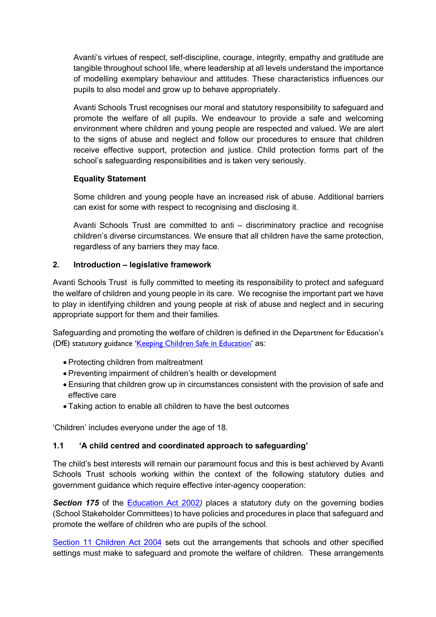Avanti's virtues of respect, self-discipline, courage, integrity, empathy and gratitude are tangible throughout school life, where leadership at all levels understand the importance of modelling exemplary behaviour and attitudes. These characteristics influences our pupils to also model and grow up to behave appropriately.

Avanti Schools Trust recognises our moral and statutory responsibility to safeguard and promote the welfare of all pupils. We endeavour to provide a safe and welcoming environment where children and young people are respected and valued. We are alert to the signs of abuse and neglect and follow our procedures to ensure that children receive effective support, protection and justice. Child protection forms part of the school's safeguarding responsibilities and is taken very seriously.

## **Equality Statement**

Some children and young people have an increased risk of abuse. Additional barriers can exist for some with respect to recognising and disclosing it.

Avanti Schools Trust are committed to anti – discriminatory practice and recognise children's diverse circumstances. We ensure that all children have the same protection, regardless of any barriers they may face.

#### **2. Introduction – legislative framework**

Avanti Schools Trust is fully committed to meeting its responsibility to protect and safeguard the welfare of children and young people in its care. We recognise the important part we have to play in identifying children and young people at risk of abuse and neglect and in securing appropriate support for them and their families.

Safeguarding and promoting the welfare of children is defined in the Department for Education's (DfE) statutory guidance 'Keeping Children Safe in Education' as:

- Protecting children from maltreatment
- Preventing impairment of children's health or development
- Ensuring that children grow up in circumstances consistent with the provision of safe and effective care
- Taking action to enable all children to have the best outcomes

'Children' includes everyone under the age of 18.

## **1.1 'A child centred and coordinated approach to safeguarding'**

The child's best interests will remain our paramount focus and this is best achieved by Avanti Schools Trust schools working within the context of the following statutory duties and government guidance which require effective inter-agency cooperation:

**Section 175** of the Education Act 2002) places a statutory duty on the governing bodies (School Stakeholder Committees) to have policies and procedures in place that safeguard and promote the welfare of children who are pupils of the school.

Section 11 Children Act 2004 sets out the arrangements that schools and other specified settings must make to safeguard and promote the welfare of children. These arrangements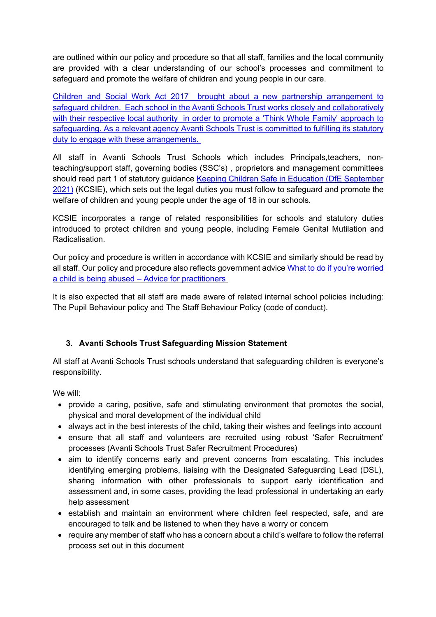are outlined within our policy and procedure so that all staff, families and the local community are provided with a clear understanding of our school's processes and commitment to safeguard and promote the welfare of children and young people in our care.

Children and Social Work Act 2017 brought about a new partnership arrangement to safeguard children. Each school in the Avanti Schools Trust works closely and collaboratively with their respective local authority in order to promote a 'Think Whole Family' approach to safeguarding. As a relevant agency Avanti Schools Trust is committed to fulfilling its statutory duty to engage with these arrangements.

All staff in Avanti Schools Trust Schools which includes Principals,teachers, nonteaching/support staff, governing bodies (SSC's) , proprietors and management committees should read part 1 of statutory guidance Keeping Children Safe in Education (DfE September 2021) (KCSIE), which sets out the legal duties you must follow to safeguard and promote the welfare of children and young people under the age of 18 in our schools.

KCSIE incorporates a range of related responsibilities for schools and statutory duties introduced to protect children and young people, including Female Genital Mutilation and Radicalisation.

Our policy and procedure is written in accordance with KCSIE and similarly should be read by all staff. Our policy and procedure also reflects government advice What to do if you're worried a child is being abused – Advice for practitioners

It is also expected that all staff are made aware of related internal school policies including: The Pupil Behaviour policy and The Staff Behaviour Policy (code of conduct).

# **3. Avanti Schools Trust Safeguarding Mission Statement**

All staff at Avanti Schools Trust schools understand that safeguarding children is everyone's responsibility.

We will:

- provide a caring, positive, safe and stimulating environment that promotes the social, physical and moral development of the individual child
- always act in the best interests of the child, taking their wishes and feelings into account
- ensure that all staff and volunteers are recruited using robust 'Safer Recruitment' processes (Avanti Schools Trust Safer Recruitment Procedures)
- aim to identify concerns early and prevent concerns from escalating. This includes identifying emerging problems, liaising with the Designated Safeguarding Lead (DSL), sharing information with other professionals to support early identification and assessment and, in some cases, providing the lead professional in undertaking an early help assessment
- establish and maintain an environment where children feel respected, safe, and are encouraged to talk and be listened to when they have a worry or concern
- require any member of staff who has a concern about a child's welfare to follow the referral process set out in this document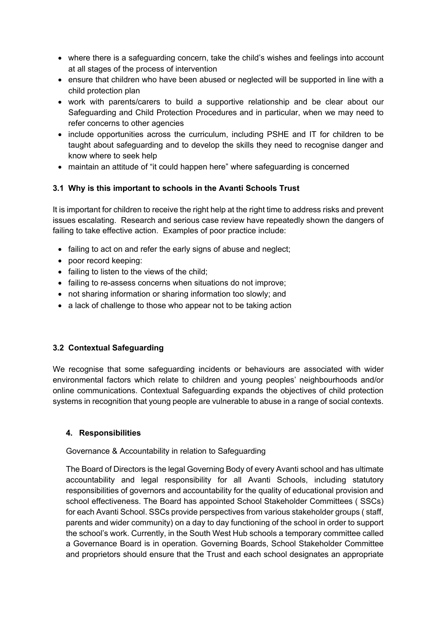- where there is a safeguarding concern, take the child's wishes and feelings into account at all stages of the process of intervention
- ensure that children who have been abused or neglected will be supported in line with a child protection plan
- work with parents/carers to build a supportive relationship and be clear about our Safeguarding and Child Protection Procedures and in particular, when we may need to refer concerns to other agencies
- include opportunities across the curriculum, including PSHE and IT for children to be taught about safeguarding and to develop the skills they need to recognise danger and know where to seek help
- maintain an attitude of "it could happen here" where safeguarding is concerned

# **3.1 Why is this important to schools in the Avanti Schools Trust**

It is important for children to receive the right help at the right time to address risks and prevent issues escalating. Research and serious case review have repeatedly shown the dangers of failing to take effective action. Examples of poor practice include:

- failing to act on and refer the early signs of abuse and neglect;
- poor record keeping:
- failing to listen to the views of the child;
- failing to re-assess concerns when situations do not improve;
- not sharing information or sharing information too slowly; and
- a lack of challenge to those who appear not to be taking action

## **3.2 Contextual Safeguarding**

We recognise that some safeguarding incidents or behaviours are associated with wider environmental factors which relate to children and young peoples' neighbourhoods and/or online communications. Contextual Safeguarding expands the objectives of child protection systems in recognition that young people are vulnerable to abuse in a range of social contexts.

## **4. Responsibilities**

## Governance & Accountability in relation to Safeguarding

The Board of Directors is the legal Governing Body of every Avanti school and has ultimate accountability and legal responsibility for all Avanti Schools, including statutory responsibilities of governors and accountability for the quality of educational provision and school effectiveness. The Board has appointed School Stakeholder Committees ( SSCs) for each Avanti School. SSCs provide perspectives from various stakeholder groups ( staff, parents and wider community) on a day to day functioning of the school in order to support the school's work. Currently, in the South West Hub schools a temporary committee called a Governance Board is in operation. Governing Boards, School Stakeholder Committee and proprietors should ensure that the Trust and each school designates an appropriate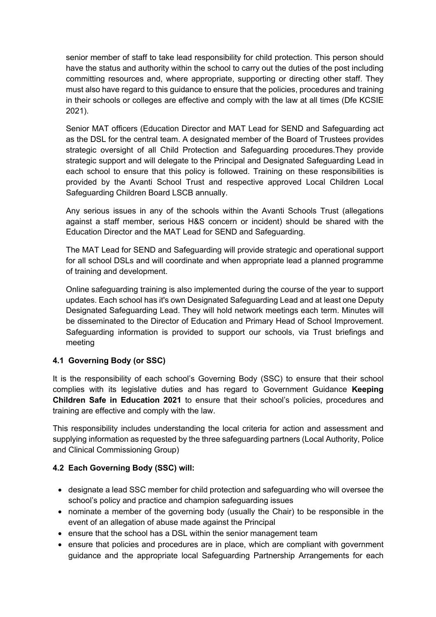senior member of staff to take lead responsibility for child protection. This person should have the status and authority within the school to carry out the duties of the post including committing resources and, where appropriate, supporting or directing other staff. They must also have regard to this guidance to ensure that the policies, procedures and training in their schools or colleges are effective and comply with the law at all times (Dfe KCSIE 2021).

Senior MAT officers (Education Director and MAT Lead for SEND and Safeguarding act as the DSL for the central team. A designated member of the Board of Trustees provides strategic oversight of all Child Protection and Safeguarding procedures.They provide strategic support and will delegate to the Principal and Designated Safeguarding Lead in each school to ensure that this policy is followed. Training on these responsibilities is provided by the Avanti School Trust and respective approved Local Children Local Safeguarding Children Board LSCB annually.

Any serious issues in any of the schools within the Avanti Schools Trust (allegations against a staff member, serious H&S concern or incident) should be shared with the Education Director and the MAT Lead for SEND and Safeguarding.

The MAT Lead for SEND and Safeguarding will provide strategic and operational support for all school DSLs and will coordinate and when appropriate lead a planned programme of training and development.

Online safeguarding training is also implemented during the course of the year to support updates. Each school has it's own Designated Safeguarding Lead and at least one Deputy Designated Safeguarding Lead. They will hold network meetings each term. Minutes will be disseminated to the Director of Education and Primary Head of School Improvement. Safeguarding information is provided to support our schools, via Trust briefings and meeting

## **4.1 Governing Body (or SSC)**

It is the responsibility of each school's Governing Body (SSC) to ensure that their school complies with its legislative duties and has regard to Government Guidance **Keeping Children Safe in Education 2021** to ensure that their school's policies, procedures and training are effective and comply with the law.

This responsibility includes understanding the local criteria for action and assessment and supplying information as requested by the three safeguarding partners (Local Authority, Police and Clinical Commissioning Group)

## **4.2 Each Governing Body (SSC) will:**

- designate a lead SSC member for child protection and safeguarding who will oversee the school's policy and practice and champion safeguarding issues
- nominate a member of the governing body (usually the Chair) to be responsible in the event of an allegation of abuse made against the Principal
- ensure that the school has a DSL within the senior management team
- ensure that policies and procedures are in place, which are compliant with government guidance and the appropriate local Safeguarding Partnership Arrangements for each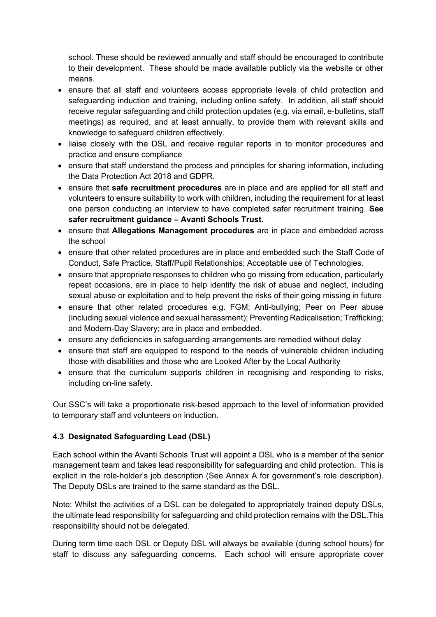school. These should be reviewed annually and staff should be encouraged to contribute to their development. These should be made available publicly via the website or other means.

- ensure that all staff and volunteers access appropriate levels of child protection and safeguarding induction and training, including online safety. In addition, all staff should receive regular safeguarding and child protection updates (e.g. via email, e-bulletins, staff meetings) as required, and at least annually, to provide them with relevant skills and knowledge to safeguard children effectively.
- liaise closely with the DSL and receive regular reports in to monitor procedures and practice and ensure compliance
- ensure that staff understand the process and principles for sharing information, including the Data Protection Act 2018 and GDPR.
- ensure that **safe recruitment procedures** are in place and are applied for all staff and volunteers to ensure suitability to work with children, including the requirement for at least one person conducting an interview to have completed safer recruitment training. **See safer recruitment guidance – Avanti Schools Trust.**
- ensure that **Allegations Management procedures** are in place and embedded across the school
- ensure that other related procedures are in place and embedded such the Staff Code of Conduct, Safe Practice, Staff/Pupil Relationships; Acceptable use of Technologies.
- ensure that appropriate responses to children who go missing from education, particularly repeat occasions, are in place to help identify the risk of abuse and neglect, including sexual abuse or exploitation and to help prevent the risks of their going missing in future
- ensure that other related procedures e.g. FGM; Anti-bullying; Peer on Peer abuse (including sexual violence and sexual harassment); Preventing Radicalisation; Trafficking; and Modern-Day Slavery; are in place and embedded.
- ensure any deficiencies in safeguarding arrangements are remedied without delay
- ensure that staff are equipped to respond to the needs of vulnerable children including those with disabilities and those who are Looked After by the Local Authority
- ensure that the curriculum supports children in recognising and responding to risks, including on-line safety.

Our SSC's will take a proportionate risk-based approach to the level of information provided to temporary staff and volunteers on induction.

## **4.3 Designated Safeguarding Lead (DSL)**

Each school within the Avanti Schools Trust will appoint a DSL who is a member of the senior management team and takes lead responsibility for safeguarding and child protection. This is explicit in the role-holder's job description (See Annex A for government's role description). The Deputy DSLs are trained to the same standard as the DSL.

Note: Whilst the activities of a DSL can be delegated to appropriately trained deputy DSLs, the ultimate lead responsibility for safeguarding and child protection remains with the DSL.This responsibility should not be delegated.

During term time each DSL or Deputy DSL will always be available (during school hours) for staff to discuss any safeguarding concerns. Each school will ensure appropriate cover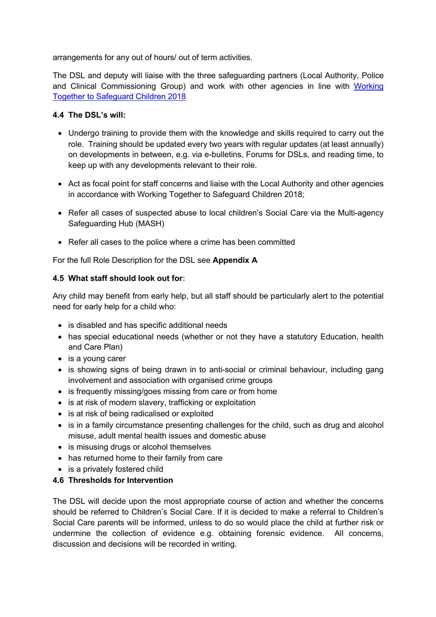arrangements for any out of hours/ out of term activities.

The DSL and deputy will liaise with the three safeguarding partners (Local Authority, Police and Clinical Commissioning Group) and work with other agencies in line with Working Together to Safeguard Children 2018

#### **4.4 The DSL's will:**

- Undergo training to provide them with the knowledge and skills required to carry out the role. Training should be updated every two years with regular updates (at least annually) on developments in between, e.g. via e-bulletins, Forums for DSLs, and reading time, to keep up with any developments relevant to their role.
- Act as focal point for staff concerns and liaise with the Local Authority and other agencies in accordance with Working Together to Safeguard Children 2018;
- Refer all cases of suspected abuse to local children's Social Care via the Multi-agency Safeguarding Hub (MASH)
- Refer all cases to the police where a crime has been committed

For the full Role Description for the DSL see **Appendix A** 

#### **4.5 What staff should look out for:**

Any child may benefit from early help, but all staff should be particularly alert to the potential need for early help for a child who:

- is disabled and has specific additional needs
- has special educational needs (whether or not they have a statutory Education, health and Care Plan)
- is a voung carer
- is showing signs of being drawn in to anti-social or criminal behaviour, including gang involvement and association with organised crime groups
- is frequently missing/goes missing from care or from home
- is at risk of modern slavery, trafficking or exploitation
- is at risk of being radicalised or exploited
- is in a family circumstance presenting challenges for the child, such as drug and alcohol misuse, adult mental health issues and domestic abuse
- is misusing drugs or alcohol themselves
- has returned home to their family from care
- is a privately fostered child

# **4.6 Thresholds for Intervention**

The DSL will decide upon the most appropriate course of action and whether the concerns should be referred to Children's Social Care. If it is decided to make a referral to Children's Social Care parents will be informed, unless to do so would place the child at further risk or undermine the collection of evidence e.g. obtaining forensic evidence. All concerns, discussion and decisions will be recorded in writing.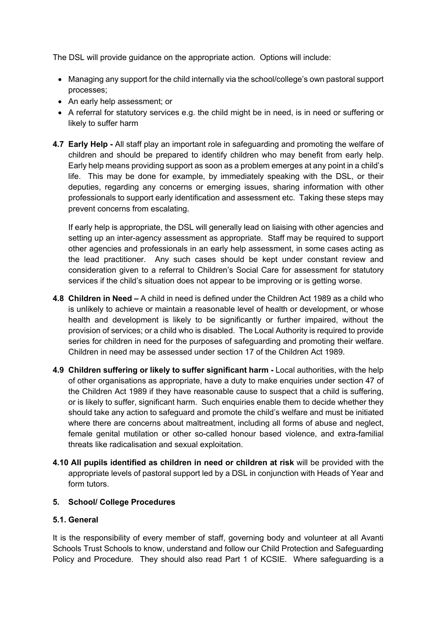The DSL will provide guidance on the appropriate action. Options will include:

- Managing any support for the child internally via the school/college's own pastoral support processes;
- An early help assessment; or
- A referral for statutory services e.g. the child might be in need, is in need or suffering or likely to suffer harm
- **4.7 Early Help -** All staff play an important role in safeguarding and promoting the welfare of children and should be prepared to identify children who may benefit from early help. Early help means providing support as soon as a problem emerges at any point in a child's life. This may be done for example, by immediately speaking with the DSL, or their deputies, regarding any concerns or emerging issues, sharing information with other professionals to support early identification and assessment etc. Taking these steps may prevent concerns from escalating.

If early help is appropriate, the DSL will generally lead on liaising with other agencies and setting up an inter-agency assessment as appropriate. Staff may be required to support other agencies and professionals in an early help assessment, in some cases acting as the lead practitioner. Any such cases should be kept under constant review and consideration given to a referral to Children's Social Care for assessment for statutory services if the child's situation does not appear to be improving or is getting worse.

- **4.8 Children in Need –** A child in need is defined under the Children Act 1989 as a child who is unlikely to achieve or maintain a reasonable level of health or development, or whose health and development is likely to be significantly or further impaired, without the provision of services; or a child who is disabled. The Local Authority is required to provide series for children in need for the purposes of safeguarding and promoting their welfare. Children in need may be assessed under section 17 of the Children Act 1989.
- **4.9 Children suffering or likely to suffer significant harm -** Local authorities, with the help of other organisations as appropriate, have a duty to make enquiries under section 47 of the Children Act 1989 if they have reasonable cause to suspect that a child is suffering, or is likely to suffer, significant harm. Such enquiries enable them to decide whether they should take any action to safeguard and promote the child's welfare and must be initiated where there are concerns about maltreatment, including all forms of abuse and neglect, female genital mutilation or other so-called honour based violence, and extra-familial threats like radicalisation and sexual exploitation.
- **4.10 All pupils identified as children in need or children at risk** will be provided with the appropriate levels of pastoral support led by a DSL in conjunction with Heads of Year and form tutors.

#### **5. School/ College Procedures**

#### **5.1. General**

It is the responsibility of every member of staff, governing body and volunteer at all Avanti Schools Trust Schools to know, understand and follow our Child Protection and Safeguarding Policy and Procedure. They should also read Part 1 of KCSIE. Where safeguarding is a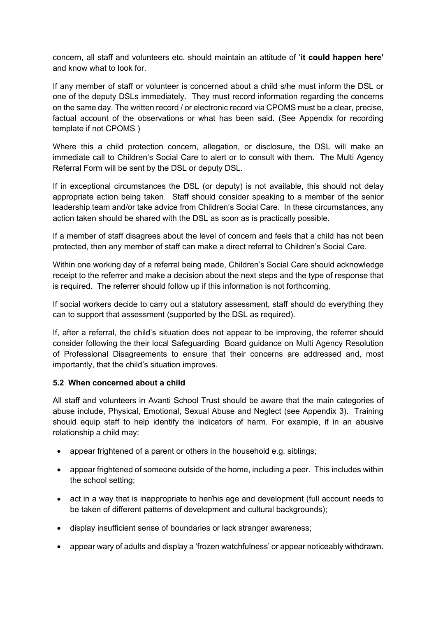concern, all staff and volunteers etc. should maintain an attitude of '**it could happen here'** and know what to look for.

If any member of staff or volunteer is concerned about a child s/he must inform the DSL or one of the deputy DSLs immediately. They must record information regarding the concerns on the same day. The written record / or electronic record via CPOMS must be a clear, precise, factual account of the observations or what has been said. (See Appendix for recording template if not CPOMS )

Where this a child protection concern, allegation, or disclosure, the DSL will make an immediate call to Children's Social Care to alert or to consult with them. The Multi Agency Referral Form will be sent by the DSL or deputy DSL.

If in exceptional circumstances the DSL (or deputy) is not available, this should not delay appropriate action being taken. Staff should consider speaking to a member of the senior leadership team and/or take advice from Children's Social Care. In these circumstances, any action taken should be shared with the DSL as soon as is practically possible.

If a member of staff disagrees about the level of concern and feels that a child has not been protected, then any member of staff can make a direct referral to Children's Social Care.

Within one working day of a referral being made, Children's Social Care should acknowledge receipt to the referrer and make a decision about the next steps and the type of response that is required. The referrer should follow up if this information is not forthcoming.

If social workers decide to carry out a statutory assessment, staff should do everything they can to support that assessment (supported by the DSL as required).

If, after a referral, the child's situation does not appear to be improving, the referrer should consider following the their local Safeguarding Board guidance on Multi Agency Resolution of Professional Disagreements to ensure that their concerns are addressed and, most importantly, that the child's situation improves.

## **5.2 When concerned about a child**

All staff and volunteers in Avanti School Trust should be aware that the main categories of abuse include, Physical, Emotional, Sexual Abuse and Neglect (see Appendix 3). Training should equip staff to help identify the indicators of harm. For example, if in an abusive relationship a child may:

- appear frightened of a parent or others in the household e.g. siblings;
- appear frightened of someone outside of the home, including a peer. This includes within the school setting;
- act in a way that is inappropriate to her/his age and development (full account needs to be taken of different patterns of development and cultural backgrounds):
- display insufficient sense of boundaries or lack stranger awareness;
- appear wary of adults and display a 'frozen watchfulness' or appear noticeably withdrawn.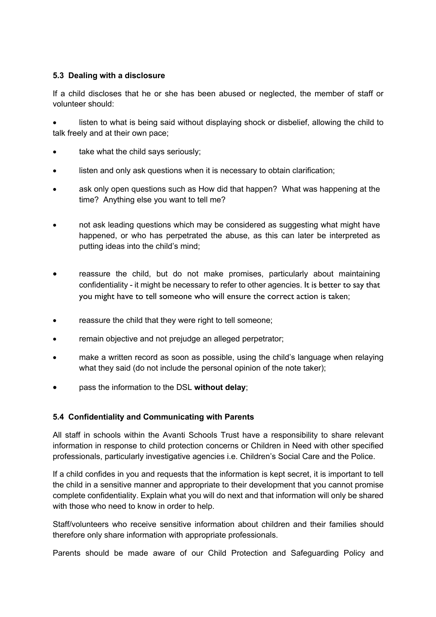# **5.3 Dealing with a disclosure**

If a child discloses that he or she has been abused or neglected, the member of staff or volunteer should:

• listen to what is being said without displaying shock or disbelief, allowing the child to talk freely and at their own pace;

- take what the child says seriously:
- listen and only ask questions when it is necessary to obtain clarification;
- ask only open questions such as How did that happen? What was happening at the time? Anything else you want to tell me?
- not ask leading questions which may be considered as suggesting what might have happened, or who has perpetrated the abuse, as this can later be interpreted as putting ideas into the child's mind;
- reassure the child, but do not make promises, particularly about maintaining confidentiality - it might be necessary to refer to other agencies. It is better to say that you might have to tell someone who will ensure the correct action is taken;
- reassure the child that they were right to tell someone:
- remain objective and not prejudge an alleged perpetrator;
- make a written record as soon as possible, using the child's language when relaying what they said (do not include the personal opinion of the note taker);
- pass the information to the DSL **without delay**;

# **5.4 Confidentiality and Communicating with Parents**

All staff in schools within the Avanti Schools Trust have a responsibility to share relevant information in response to child protection concerns or Children in Need with other specified professionals, particularly investigative agencies i.e. Children's Social Care and the Police.

If a child confides in you and requests that the information is kept secret, it is important to tell the child in a sensitive manner and appropriate to their development that you cannot promise complete confidentiality. Explain what you will do next and that information will only be shared with those who need to know in order to help.

Staff/volunteers who receive sensitive information about children and their families should therefore only share information with appropriate professionals.

Parents should be made aware of our Child Protection and Safeguarding Policy and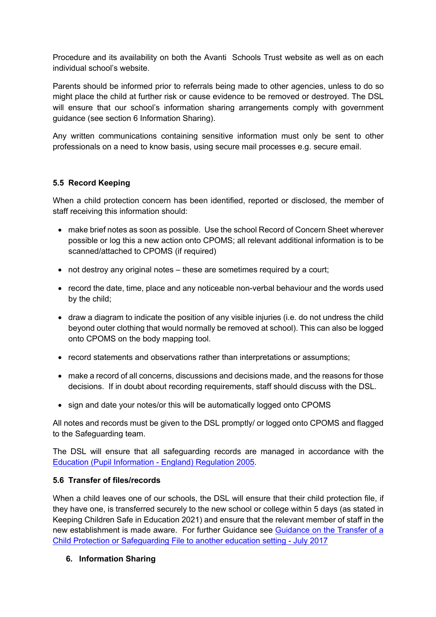Procedure and its availability on both the Avanti Schools Trust website as well as on each individual school's website.

Parents should be informed prior to referrals being made to other agencies, unless to do so might place the child at further risk or cause evidence to be removed or destroyed. The DSL will ensure that our school's information sharing arrangements comply with government guidance (see section 6 Information Sharing).

Any written communications containing sensitive information must only be sent to other professionals on a need to know basis, using secure mail processes e.g. secure email.

## **5.5 Record Keeping**

When a child protection concern has been identified, reported or disclosed, the member of staff receiving this information should:

- make brief notes as soon as possible. Use the school Record of Concern Sheet wherever possible or log this a new action onto CPOMS; all relevant additional information is to be scanned/attached to CPOMS (if required)
- not destroy any original notes these are sometimes required by a court;
- record the date, time, place and any noticeable non-verbal behaviour and the words used by the child;
- draw a diagram to indicate the position of any visible injuries (i.e. do not undress the child beyond outer clothing that would normally be removed at school). This can also be logged onto CPOMS on the body mapping tool.
- record statements and observations rather than interpretations or assumptions;
- make a record of all concerns, discussions and decisions made, and the reasons for those decisions. If in doubt about recording requirements, staff should discuss with the DSL.
- sign and date your notes/or this will be automatically logged onto CPOMS

All notes and records must be given to the DSL promptly/ or logged onto CPOMS and flagged to the Safeguarding team.

The DSL will ensure that all safeguarding records are managed in accordance with the Education (Pupil Information - England) Regulation 2005.

#### **5.6 Transfer of files/records**

When a child leaves one of our schools, the DSL will ensure that their child protection file, if they have one, is transferred securely to the new school or college within 5 days (as stated in Keeping Children Safe in Education 2021) and ensure that the relevant member of staff in the new establishment is made aware. For further Guidance see Guidance on the Transfer of a Child Protection or Safeguarding File to another education setting - July 2017

#### **6. Information Sharing**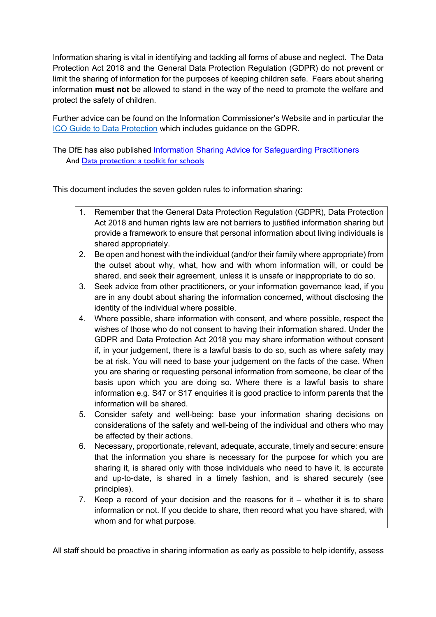Information sharing is vital in identifying and tackling all forms of abuse and neglect. The Data Protection Act 2018 and the General Data Protection Regulation (GDPR) do not prevent or limit the sharing of information for the purposes of keeping children safe. Fears about sharing information **must not** be allowed to stand in the way of the need to promote the welfare and protect the safety of children.

Further advice can be found on the Information Commissioner's Website and in particular the ICO Guide to Data Protection which includes guidance on the GDPR.

The DfE has also published Information Sharing Advice for Safeguarding Practitioners And Data protection: a toolkit for schools

This document includes the seven golden rules to information sharing:

- 1. Remember that the General Data Protection Regulation (GDPR), Data Protection Act 2018 and human rights law are not barriers to justified information sharing but provide a framework to ensure that personal information about living individuals is shared appropriately.
- 2. Be open and honest with the individual (and/or their family where appropriate) from the outset about why, what, how and with whom information will, or could be shared, and seek their agreement, unless it is unsafe or inappropriate to do so.
- 3. Seek advice from other practitioners, or your information governance lead, if you are in any doubt about sharing the information concerned, without disclosing the identity of the individual where possible.
- 4. Where possible, share information with consent, and where possible, respect the wishes of those who do not consent to having their information shared. Under the GDPR and Data Protection Act 2018 you may share information without consent if, in your judgement, there is a lawful basis to do so, such as where safety may be at risk. You will need to base your judgement on the facts of the case. When you are sharing or requesting personal information from someone, be clear of the basis upon which you are doing so. Where there is a lawful basis to share information e.g. S47 or S17 enquiries it is good practice to inform parents that the information will be shared.
- 5. Consider safety and well-being: base your information sharing decisions on considerations of the safety and well-being of the individual and others who may be affected by their actions.
- 6. Necessary, proportionate, relevant, adequate, accurate, timely and secure: ensure that the information you share is necessary for the purpose for which you are sharing it, is shared only with those individuals who need to have it, is accurate and up-to-date, is shared in a timely fashion, and is shared securely (see principles).
- 7. Keep a record of your decision and the reasons for it whether it is to share information or not. If you decide to share, then record what you have shared, with whom and for what purpose.

All staff should be proactive in sharing information as early as possible to help identify, assess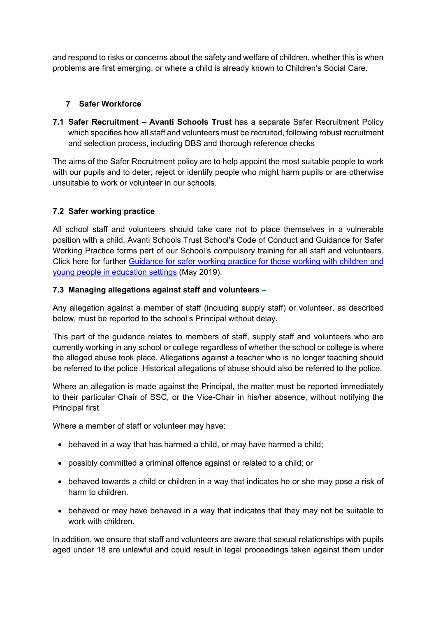and respond to risks or concerns about the safety and welfare of children, whether this is when problems are first emerging, or where a child is already known to Children's Social Care.

#### **7 Safer Workforce**

**7.1 Safer Recruitment – Avanti Schools Trust** has a separate Safer Recruitment Policy which specifies how all staff and volunteers must be recruited, following robust recruitment and selection process, including DBS and thorough reference checks

The aims of the Safer Recruitment policy are to help appoint the most suitable people to work with our pupils and to deter, reject or identify people who might harm pupils or are otherwise unsuitable to work or volunteer in our schools.

## **7.2 Safer working practice**

All school staff and volunteers should take care not to place themselves in a vulnerable position with a child. Avanti Schools Trust School's Code of Conduct and Guidance for Safer Working Practice forms part of our School's compulsory training for all staff and volunteers. Click here for further Guidance for safer working practice for those working with children and young people in education settings (May 2019).

#### **7.3 Managing allegations against staff and volunteers –**

Any allegation against a member of staff (including supply staff) or volunteer, as described below, must be reported to the school's Principal without delay.

This part of the guidance relates to members of staff, supply staff and volunteers who are currently working in any school or college regardless of whether the school or college is where the alleged abuse took place. Allegations against a teacher who is no longer teaching should be referred to the police. Historical allegations of abuse should also be referred to the police.

Where an allegation is made against the Principal, the matter must be reported immediately to their particular Chair of SSC, or the Vice-Chair in his/her absence, without notifying the Principal first.

Where a member of staff or volunteer may have:

- behaved in a way that has harmed a child, or may have harmed a child;
- possibly committed a criminal offence against or related to a child; or
- behaved towards a child or children in a way that indicates he or she may pose a risk of harm to children.
- behaved or may have behaved in a way that indicates that they may not be suitable to work with children.

In addition, we ensure that staff and volunteers are aware that sexual relationships with pupils aged under 18 are unlawful and could result in legal proceedings taken against them under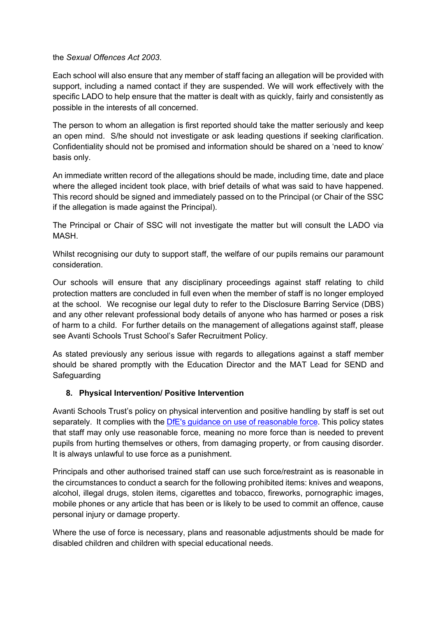the *Sexual Offences Act 2003*.

Each school will also ensure that any member of staff facing an allegation will be provided with support, including a named contact if they are suspended. We will work effectively with the specific LADO to help ensure that the matter is dealt with as quickly, fairly and consistently as possible in the interests of all concerned.

The person to whom an allegation is first reported should take the matter seriously and keep an open mind. S/he should not investigate or ask leading questions if seeking clarification. Confidentiality should not be promised and information should be shared on a 'need to know' basis only.

An immediate written record of the allegations should be made, including time, date and place where the alleged incident took place, with brief details of what was said to have happened. This record should be signed and immediately passed on to the Principal (or Chair of the SSC if the allegation is made against the Principal).

The Principal or Chair of SSC will not investigate the matter but will consult the LADO via MASH.

Whilst recognising our duty to support staff, the welfare of our pupils remains our paramount consideration.

Our schools will ensure that any disciplinary proceedings against staff relating to child protection matters are concluded in full even when the member of staff is no longer employed at the school. We recognise our legal duty to refer to the Disclosure Barring Service (DBS) and any other relevant professional body details of anyone who has harmed or poses a risk of harm to a child. For further details on the management of allegations against staff, please see Avanti Schools Trust School's Safer Recruitment Policy.

As stated previously any serious issue with regards to allegations against a staff member should be shared promptly with the Education Director and the MAT Lead for SEND and Safeguarding

#### **8. Physical Intervention/ Positive Intervention**

Avanti Schools Trust's policy on physical intervention and positive handling by staff is set out separately. It complies with the DfE's guidance on use of reasonable force. This policy states that staff may only use reasonable force, meaning no more force than is needed to prevent pupils from hurting themselves or others, from damaging property, or from causing disorder. It is always unlawful to use force as a punishment.

Principals and other authorised trained staff can use such force/restraint as is reasonable in the circumstances to conduct a search for the following prohibited items: knives and weapons, alcohol, illegal drugs, stolen items, cigarettes and tobacco, fireworks, pornographic images, mobile phones or any article that has been or is likely to be used to commit an offence, cause personal injury or damage property.

Where the use of force is necessary, plans and reasonable adjustments should be made for disabled children and children with special educational needs.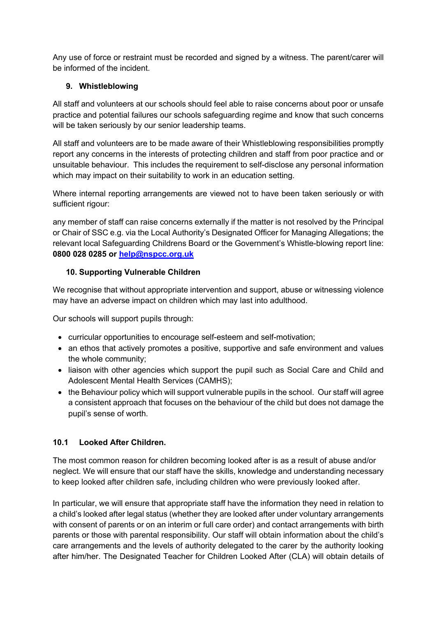Any use of force or restraint must be recorded and signed by a witness. The parent/carer will be informed of the incident.

# **9. Whistleblowing**

All staff and volunteers at our schools should feel able to raise concerns about poor or unsafe practice and potential failures our schools safeguarding regime and know that such concerns will be taken seriously by our senior leadership teams.

All staff and volunteers are to be made aware of their Whistleblowing responsibilities promptly report any concerns in the interests of protecting children and staff from poor practice and or unsuitable behaviour. This includes the requirement to self-disclose any personal information which may impact on their suitability to work in an education setting.

Where internal reporting arrangements are viewed not to have been taken seriously or with sufficient rigour:

any member of staff can raise concerns externally if the matter is not resolved by the Principal or Chair of SSC e.g. via the Local Authority's Designated Officer for Managing Allegations; the relevant local Safeguarding Childrens Board or the Government's Whistle-blowing report line: **0800 028 0285 or help@nspcc.org.uk**

# **10. Supporting Vulnerable Children**

We recognise that without appropriate intervention and support, abuse or witnessing violence may have an adverse impact on children which may last into adulthood.

Our schools will support pupils through:

- curricular opportunities to encourage self-esteem and self-motivation;
- an ethos that actively promotes a positive, supportive and safe environment and values the whole community;
- liaison with other agencies which support the pupil such as Social Care and Child and Adolescent Mental Health Services (CAMHS);
- the Behaviour policy which will support vulnerable pupils in the school. Our staff will agree a consistent approach that focuses on the behaviour of the child but does not damage the pupil's sense of worth.

## **10.1 Looked After Children.**

The most common reason for children becoming looked after is as a result of abuse and/or neglect. We will ensure that our staff have the skills, knowledge and understanding necessary to keep looked after children safe, including children who were previously looked after.

In particular, we will ensure that appropriate staff have the information they need in relation to a child's looked after legal status (whether they are looked after under voluntary arrangements with consent of parents or on an interim or full care order) and contact arrangements with birth parents or those with parental responsibility. Our staff will obtain information about the child's care arrangements and the levels of authority delegated to the carer by the authority looking after him/her. The Designated Teacher for Children Looked After (CLA) will obtain details of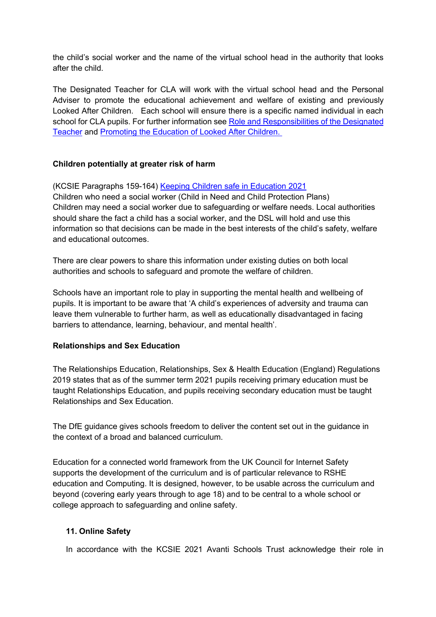the child's social worker and the name of the virtual school head in the authority that looks after the child.

The Designated Teacher for CLA will work with the virtual school head and the Personal Adviser to promote the educational achievement and welfare of existing and previously Looked After Children. Each school will ensure there is a specific named individual in each school for CLA pupils. For further information see Role and Responsibilities of the Designated Teacher and Promoting the Education of Looked After Children.

#### **Children potentially at greater risk of harm**

(KCSIE Paragraphs 159-164) Keeping Children safe in Education 2021 Children who need a social worker (Child in Need and Child Protection Plans) Children may need a social worker due to safeguarding or welfare needs. Local authorities should share the fact a child has a social worker, and the DSL will hold and use this information so that decisions can be made in the best interests of the child's safety, welfare and educational outcomes.

There are clear powers to share this information under existing duties on both local authorities and schools to safeguard and promote the welfare of children.

Schools have an important role to play in supporting the mental health and wellbeing of pupils. It is important to be aware that 'A child's experiences of adversity and trauma can leave them vulnerable to further harm, as well as educationally disadvantaged in facing barriers to attendance, learning, behaviour, and mental health'.

#### **Relationships and Sex Education**

The Relationships Education, Relationships, Sex & Health Education (England) Regulations 2019 states that as of the summer term 2021 pupils receiving primary education must be taught Relationships Education, and pupils receiving secondary education must be taught Relationships and Sex Education.

The DfE guidance gives schools freedom to deliver the content set out in the guidance in the context of a broad and balanced curriculum.

Education for a connected world framework from the UK Council for Internet Safety supports the development of the curriculum and is of particular relevance to RSHE education and Computing. It is designed, however, to be usable across the curriculum and beyond (covering early years through to age 18) and to be central to a whole school or college approach to safeguarding and online safety.

#### **11. Online Safety**

In accordance with the KCSIE 2021 Avanti Schools Trust acknowledge their role in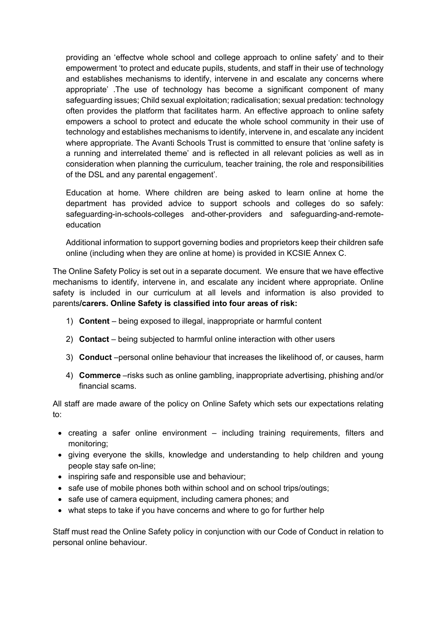providing an 'effectve whole school and college approach to online safety' and to their empowerment 'to protect and educate pupils, students, and staff in their use of technology and establishes mechanisms to identify, intervene in and escalate any concerns where appropriate' .The use of technology has become a significant component of many safeguarding issues; Child sexual exploitation; radicalisation; sexual predation: technology often provides the platform that facilitates harm. An effective approach to online safety empowers a school to protect and educate the whole school community in their use of technology and establishes mechanisms to identify, intervene in, and escalate any incident where appropriate. The Avanti Schools Trust is committed to ensure that 'online safety is a running and interrelated theme' and is reflected in all relevant policies as well as in consideration when planning the curriculum, teacher training, the role and responsibilities of the DSL and any parental engagement'.

Education at home. Where children are being asked to learn online at home the department has provided advice to support schools and colleges do so safely: safeguarding-in-schools-colleges and-other-providers and safeguarding-and-remoteeducation

Additional information to support governing bodies and proprietors keep their children safe online (including when they are online at home) is provided in KCSIE Annex C.

The Online Safety Policy is set out in a separate document. We ensure that we have effective mechanisms to identify, intervene in, and escalate any incident where appropriate. Online safety is included in our curriculum at all levels and information is also provided to parents**/carers. Online Safety is classified into four areas of risk:**

- 1) **Content** being exposed to illegal, inappropriate or harmful content
- 2) **Contact** being subjected to harmful online interaction with other users
- 3) **Conduct** –personal online behaviour that increases the likelihood of, or causes, harm
- 4) **Commerce** –risks such as online gambling, inappropriate advertising, phishing and/or financial scams.

All staff are made aware of the policy on Online Safety which sets our expectations relating to:

- creating a safer online environment including training requirements, filters and monitoring;
- giving everyone the skills, knowledge and understanding to help children and young people stay safe on-line;
- inspiring safe and responsible use and behaviour;
- safe use of mobile phones both within school and on school trips/outings:
- safe use of camera equipment, including camera phones; and
- what steps to take if you have concerns and where to go for further help

Staff must read the Online Safety policy in conjunction with our Code of Conduct in relation to personal online behaviour.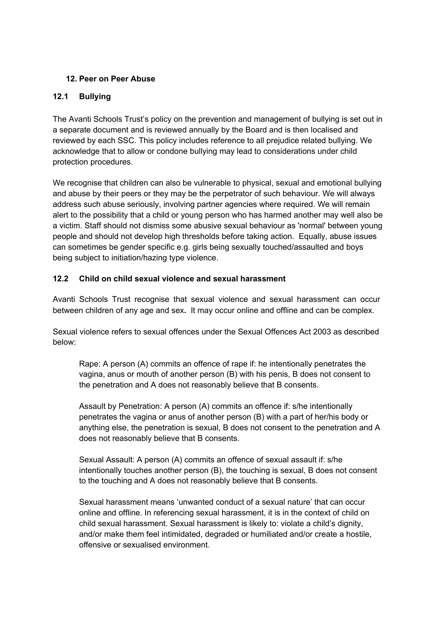# **12. Peer on Peer Abuse**

# **12.1 Bullying**

The Avanti Schools Trust's policy on the prevention and management of bullying is set out in a separate document and is reviewed annually by the Board and is then localised and reviewed by each SSC. This policy includes reference to all prejudice related bullying. We acknowledge that to allow or condone bullying may lead to considerations under child protection procedures.

We recognise that children can also be vulnerable to physical, sexual and emotional bullying and abuse by their peers or they may be the perpetrator of such behaviour. We will always address such abuse seriously, involving partner agencies where required. We will remain alert to the possibility that a child or young person who has harmed another may well also be a victim. Staff should not dismiss some abusive sexual behaviour as 'normal' between young people and should not develop high thresholds before taking action. Equally, abuse issues can sometimes be gender specific e.g. girls being sexually touched/assaulted and boys being subject to initiation/hazing type violence.

# **12.2 Child on child sexual violence and sexual harassment**

Avanti Schools Trust recognise that sexual violence and sexual harassment can occur between children of any age and sex**.** It may occur online and offline and can be complex.

Sexual violence refers to sexual offences under the Sexual Offences Act 2003 as described below:

Rape: A person (A) commits an offence of rape if: he intentionally penetrates the vagina, anus or mouth of another person (B) with his penis, B does not consent to the penetration and A does not reasonably believe that B consents.

Assault by Penetration: A person (A) commits an offence if: s/he intentionally penetrates the vagina or anus of another person (B) with a part of her/his body or anything else, the penetration is sexual, B does not consent to the penetration and A does not reasonably believe that B consents.

Sexual Assault: A person (A) commits an offence of sexual assault if: s/he intentionally touches another person (B), the touching is sexual, B does not consent to the touching and A does not reasonably believe that B consents.

Sexual harassment means 'unwanted conduct of a sexual nature' that can occur online and offline. In referencing sexual harassment, it is in the context of child on child sexual harassment. Sexual harassment is likely to: violate a child's dignity, and/or make them feel intimidated, degraded or humiliated and/or create a hostile, offensive or sexualised environment.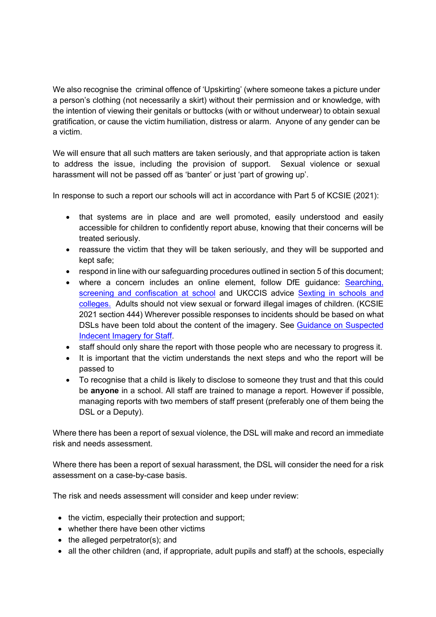We also recognise the criminal offence of 'Upskirting' (where someone takes a picture under a person's clothing (not necessarily a skirt) without their permission and or knowledge, with the intention of viewing their genitals or buttocks (with or without underwear) to obtain sexual gratification, or cause the victim humiliation, distress or alarm. Anyone of any gender can be a victim.

We will ensure that all such matters are taken seriously, and that appropriate action is taken to address the issue, including the provision of support. Sexual violence or sexual harassment will not be passed off as 'banter' or just 'part of growing up'.

In response to such a report our schools will act in accordance with Part 5 of KCSIE (2021):

- that systems are in place and are well promoted, easily understood and easily accessible for children to confidently report abuse, knowing that their concerns will be treated seriously.
- reassure the victim that they will be taken seriously, and they will be supported and kept safe;
- respond in line with our safeguarding procedures outlined in section 5 of this document;
- where a concern includes an online element, follow DfE guidance: Searching, screening and confiscation at school and UKCCIS advice Sexting in schools and colleges. Adults should not view sexual or forward illegal images of children. (KCSIE 2021 section 444) Wherever possible responses to incidents should be based on what DSLs have been told about the content of the imagery. See Guidance on Suspected Indecent Imagery for Staff.
- staff should only share the report with those people who are necessary to progress it.
- It is important that the victim understands the next steps and who the report will be passed to
- To recognise that a child is likely to disclose to someone they trust and that this could be **anyone** in a school. All staff are trained to manage a report. However if possible, managing reports with two members of staff present (preferably one of them being the DSL or a Deputy).

Where there has been a report of sexual violence, the DSL will make and record an immediate risk and needs assessment.

Where there has been a report of sexual harassment, the DSL will consider the need for a risk assessment on a case-by-case basis.

The risk and needs assessment will consider and keep under review:

- the victim, especially their protection and support;
- whether there have been other victims
- the alleged perpetrator(s); and
- all the other children (and, if appropriate, adult pupils and staff) at the schools, especially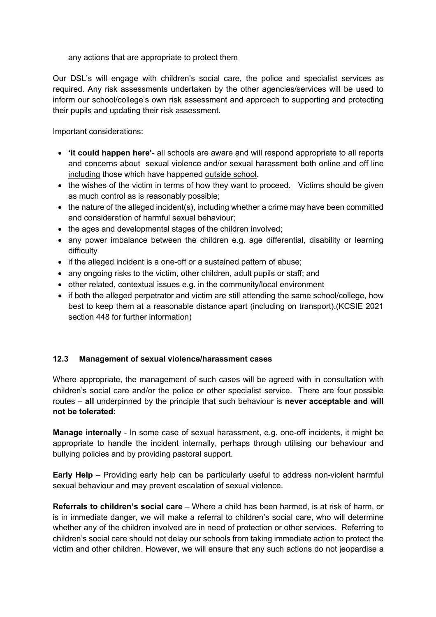#### any actions that are appropriate to protect them

Our DSL's will engage with children's social care, the police and specialist services as required. Any risk assessments undertaken by the other agencies/services will be used to inform our school/college's own risk assessment and approach to supporting and protecting their pupils and updating their risk assessment.

Important considerations:

- **'it could happen here'** all schools are aware and will respond appropriate to all reports and concerns about sexual violence and/or sexual harassment both online and off line including those which have happened outside school.
- the wishes of the victim in terms of how they want to proceed. Victims should be given as much control as is reasonably possible;
- the nature of the alleged incident(s), including whether a crime may have been committed and consideration of harmful sexual behaviour;
- the ages and developmental stages of the children involved;
- any power imbalance between the children e.g. age differential, disability or learning difficulty
- if the alleged incident is a one-off or a sustained pattern of abuse;
- any ongoing risks to the victim, other children, adult pupils or staff; and
- other related, contextual issues e.g. in the community/local environment
- if both the alleged perpetrator and victim are still attending the same school/college, how best to keep them at a reasonable distance apart (including on transport).(KCSIE 2021 section 448 for further information)

## **12.3 Management of sexual violence/harassment cases**

Where appropriate, the management of such cases will be agreed with in consultation with children's social care and/or the police or other specialist service. There are four possible routes – **all** underpinned by the principle that such behaviour is **never acceptable and will not be tolerated:**

**Manage internally** - In some case of sexual harassment, e.g. one-off incidents, it might be appropriate to handle the incident internally, perhaps through utilising our behaviour and bullying policies and by providing pastoral support.

**Early Help** – Providing early help can be particularly useful to address non-violent harmful sexual behaviour and may prevent escalation of sexual violence.

**Referrals to children's social care** – Where a child has been harmed, is at risk of harm, or is in immediate danger, we will make a referral to children's social care, who will determine whether any of the children involved are in need of protection or other services. Referring to children's social care should not delay our schools from taking immediate action to protect the victim and other children. However, we will ensure that any such actions do not jeopardise a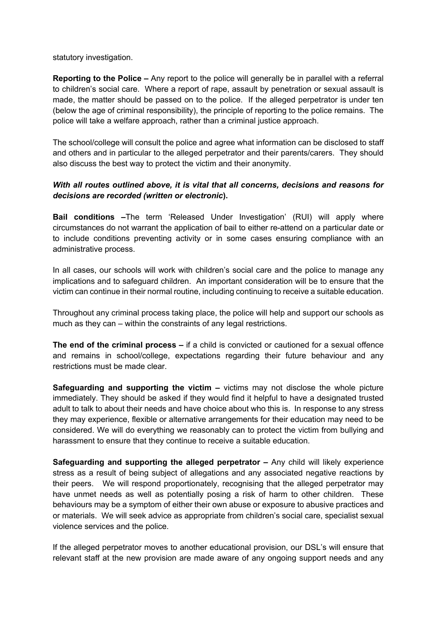statutory investigation.

**Reporting to the Police –** Any report to the police will generally be in parallel with a referral to children's social care. Where a report of rape, assault by penetration or sexual assault is made, the matter should be passed on to the police. If the alleged perpetrator is under ten (below the age of criminal responsibility), the principle of reporting to the police remains. The police will take a welfare approach, rather than a criminal justice approach.

The school/college will consult the police and agree what information can be disclosed to staff and others and in particular to the alleged perpetrator and their parents/carers. They should also discuss the best way to protect the victim and their anonymity.

#### *With all routes outlined above, it is vital that all concerns, decisions and reasons for decisions are recorded (written or electronic***).**

**Bail conditions –**The term 'Released Under Investigation' (RUI) will apply where circumstances do not warrant the application of bail to either re-attend on a particular date or to include conditions preventing activity or in some cases ensuring compliance with an administrative process.

In all cases, our schools will work with children's social care and the police to manage any implications and to safeguard children. An important consideration will be to ensure that the victim can continue in their normal routine, including continuing to receive a suitable education.

Throughout any criminal process taking place, the police will help and support our schools as much as they can – within the constraints of any legal restrictions.

**The end of the criminal process –** if a child is convicted or cautioned for a sexual offence and remains in school/college, expectations regarding their future behaviour and any restrictions must be made clear.

**Safeguarding and supporting the victim –** victims may not disclose the whole picture immediately. They should be asked if they would find it helpful to have a designated trusted adult to talk to about their needs and have choice about who this is. In response to any stress they may experience, flexible or alternative arrangements for their education may need to be considered. We will do everything we reasonably can to protect the victim from bullying and harassment to ensure that they continue to receive a suitable education.

**Safeguarding and supporting the alleged perpetrator –** Any child will likely experience stress as a result of being subject of allegations and any associated negative reactions by their peers. We will respond proportionately, recognising that the alleged perpetrator may have unmet needs as well as potentially posing a risk of harm to other children. These behaviours may be a symptom of either their own abuse or exposure to abusive practices and or materials. We will seek advice as appropriate from children's social care, specialist sexual violence services and the police.

If the alleged perpetrator moves to another educational provision, our DSL's will ensure that relevant staff at the new provision are made aware of any ongoing support needs and any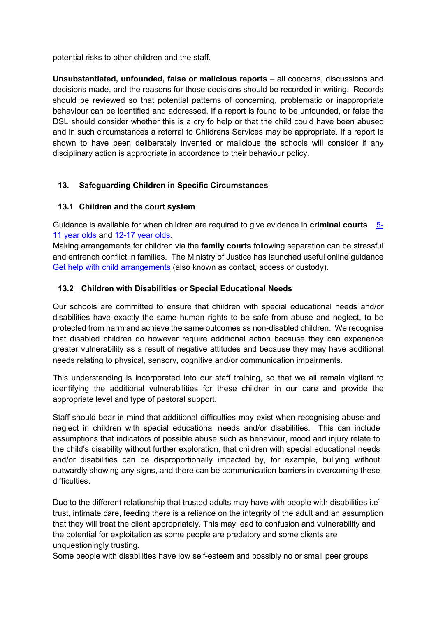potential risks to other children and the staff.

**Unsubstantiated, unfounded, false or malicious reports** – all concerns, discussions and decisions made, and the reasons for those decisions should be recorded in writing. Records should be reviewed so that potential patterns of concerning, problematic or inappropriate behaviour can be identified and addressed. If a report is found to be unfounded, or false the DSL should consider whether this is a cry fo help or that the child could have been abused and in such circumstances a referral to Childrens Services may be appropriate. If a report is shown to have been deliberately invented or malicious the schools will consider if any disciplinary action is appropriate in accordance to their behaviour policy.

# **13. Safeguarding Children in Specific Circumstances**

## **13.1 Children and the court system**

Guidance is available for when children are required to give evidence in **criminal courts** 5- 11 year olds and 12-17 year olds.

Making arrangements for children via the **family courts** following separation can be stressful and entrench conflict in families. The Ministry of Justice has launched useful online guidance Get help with child arrangements (also known as contact, access or custody).

## **13.2 Children with Disabilities or Special Educational Needs**

Our schools are committed to ensure that children with special educational needs and/or disabilities have exactly the same human rights to be safe from abuse and neglect, to be protected from harm and achieve the same outcomes as non-disabled children. We recognise that disabled children do however require additional action because they can experience greater vulnerability as a result of negative attitudes and because they may have additional needs relating to physical, sensory, cognitive and/or communication impairments.

This understanding is incorporated into our staff training, so that we all remain vigilant to identifying the additional vulnerabilities for these children in our care and provide the appropriate level and type of pastoral support.

Staff should bear in mind that additional difficulties may exist when recognising abuse and neglect in children with special educational needs and/or disabilities. This can include assumptions that indicators of possible abuse such as behaviour, mood and injury relate to the child's disability without further exploration, that children with special educational needs and/or disabilities can be disproportionally impacted by, for example, bullying without outwardly showing any signs, and there can be communication barriers in overcoming these difficulties.

Due to the different relationship that trusted adults may have with people with disabilities i.e' trust, intimate care, feeding there is a reliance on the integrity of the adult and an assumption that they will treat the client appropriately. This may lead to confusion and vulnerability and the potential for exploitation as some people are predatory and some clients are unquestioningly trusting.

Some people with disabilities have low self-esteem and possibly no or small peer groups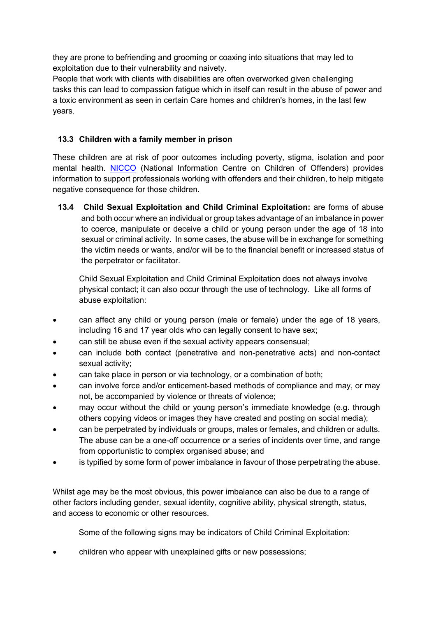they are prone to befriending and grooming or coaxing into situations that may led to exploitation due to their vulnerability and naivety.

People that work with clients with disabilities are often overworked given challenging tasks this can lead to compassion fatigue which in itself can result in the abuse of power and a toxic environment as seen in certain Care homes and children's homes, in the last few years.

# **13.3 Children with a family member in prison**

These children are at risk of poor outcomes including poverty, stigma, isolation and poor mental health. NICCO (National Information Centre on Children of Offenders) provides information to support professionals working with offenders and their children, to help mitigate negative consequence for those children.

**13.4 Child Sexual Exploitation and Child Criminal Exploitation:** are forms of abuse and both occur where an individual or group takes advantage of an imbalance in power to coerce, manipulate or deceive a child or young person under the age of 18 into sexual or criminal activity. In some cases, the abuse will be in exchange for something the victim needs or wants, and/or will be to the financial benefit or increased status of the perpetrator or facilitator.

Child Sexual Exploitation and Child Criminal Exploitation does not always involve physical contact; it can also occur through the use of technology. Like all forms of abuse exploitation:

- can affect any child or young person (male or female) under the age of 18 years, including 16 and 17 year olds who can legally consent to have sex;
- can still be abuse even if the sexual activity appears consensual;
- can include both contact (penetrative and non-penetrative acts) and non-contact sexual activity;
- can take place in person or via technology, or a combination of both;
- can involve force and/or enticement-based methods of compliance and may, or may not, be accompanied by violence or threats of violence;
- may occur without the child or young person's immediate knowledge (e.g. through others copying videos or images they have created and posting on social media);
- can be perpetrated by individuals or groups, males or females, and children or adults. The abuse can be a one-off occurrence or a series of incidents over time, and range from opportunistic to complex organised abuse; and
- is typified by some form of power imbalance in favour of those perpetrating the abuse.

Whilst age may be the most obvious, this power imbalance can also be due to a range of other factors including gender, sexual identity, cognitive ability, physical strength, status, and access to economic or other resources.

Some of the following signs may be indicators of Child Criminal Exploitation:

• children who appear with unexplained gifts or new possessions;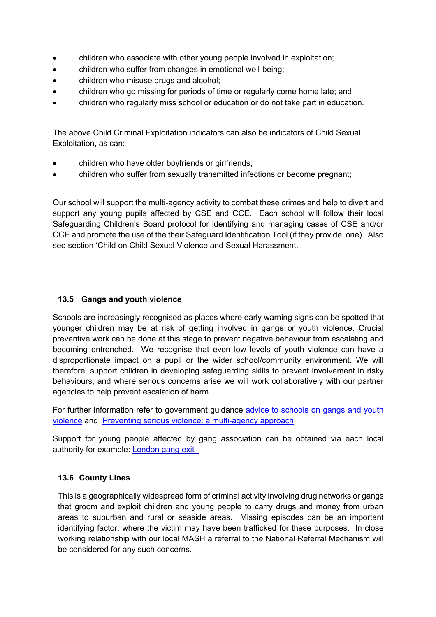- children who associate with other young people involved in exploitation;
- children who suffer from changes in emotional well-being;
- children who misuse drugs and alcohol;
- children who go missing for periods of time or regularly come home late; and
- children who regularly miss school or education or do not take part in education.

The above Child Criminal Exploitation indicators can also be indicators of Child Sexual Exploitation, as can:

- children who have older boyfriends or girlfriends;
- children who suffer from sexually transmitted infections or become pregnant;

Our school will support the multi-agency activity to combat these crimes and help to divert and support any young pupils affected by CSE and CCE. Each school will follow their local Safeguarding Children's Board protocol for identifying and managing cases of CSE and/or CCE and promote the use of the their Safeguard Identification Tool (if they provide one). Also see section 'Child on Child Sexual Violence and Sexual Harassment.

## **13.5 Gangs and youth violence**

Schools are increasingly recognised as places where early warning signs can be spotted that younger children may be at risk of getting involved in gangs or youth violence. Crucial preventive work can be done at this stage to prevent negative behaviour from escalating and becoming entrenched. We recognise that even low levels of youth violence can have a disproportionate impact on a pupil or the wider school/community environment. We will therefore, support children in developing safeguarding skills to prevent involvement in risky behaviours, and where serious concerns arise we will work collaboratively with our partner agencies to help prevent escalation of harm.

For further information refer to government guidance advice to schools on gangs and youth violence and Preventing serious violence: a multi-agency approach.

Support for young people affected by gang association can be obtained via each local authority for example: London gang exit

## **13.6 County Lines**

This is a geographically widespread form of criminal activity involving drug networks or gangs that groom and exploit children and young people to carry drugs and money from urban areas to suburban and rural or seaside areas. Missing episodes can be an important identifying factor, where the victim may have been trafficked for these purposes. In close working relationship with our local MASH a referral to the National Referral Mechanism will be considered for any such concerns.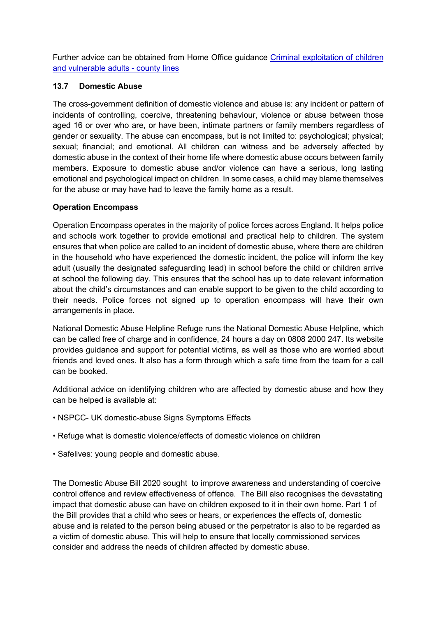Further advice can be obtained from Home Office guidance Criminal exploitation of children and vulnerable adults - county lines

# **13.7 Domestic Abuse**

The cross-government definition of domestic violence and abuse is: any incident or pattern of incidents of controlling, coercive, threatening behaviour, violence or abuse between those aged 16 or over who are, or have been, intimate partners or family members regardless of gender or sexuality. The abuse can encompass, but is not limited to: psychological; physical; sexual; financial; and emotional. All children can witness and be adversely affected by domestic abuse in the context of their home life where domestic abuse occurs between family members. Exposure to domestic abuse and/or violence can have a serious, long lasting emotional and psychological impact on children. In some cases, a child may blame themselves for the abuse or may have had to leave the family home as a result.

# **Operation Encompass**

Operation Encompass operates in the majority of police forces across England. It helps police and schools work together to provide emotional and practical help to children. The system ensures that when police are called to an incident of domestic abuse, where there are children in the household who have experienced the domestic incident, the police will inform the key adult (usually the designated safeguarding lead) in school before the child or children arrive at school the following day. This ensures that the school has up to date relevant information about the child's circumstances and can enable support to be given to the child according to their needs. Police forces not signed up to operation encompass will have their own arrangements in place.

National Domestic Abuse Helpline Refuge runs the National Domestic Abuse Helpline, which can be called free of charge and in confidence, 24 hours a day on 0808 2000 247. Its website provides guidance and support for potential victims, as well as those who are worried about friends and loved ones. It also has a form through which a safe time from the team for a call can be booked.

Additional advice on identifying children who are affected by domestic abuse and how they can be helped is available at:

- NSPCC- UK domestic-abuse Signs Symptoms Effects
- Refuge what is domestic violence/effects of domestic violence on children
- Safelives: young people and domestic abuse.

The Domestic Abuse Bill 2020 sought to improve awareness and understanding of coercive control offence and review effectiveness of offence. The Bill also recognises the devastating impact that domestic abuse can have on children exposed to it in their own home. Part 1 of the Bill provides that a child who sees or hears, or experiences the effects of, domestic abuse and is related to the person being abused or the perpetrator is also to be regarded as a victim of domestic abuse. This will help to ensure that locally commissioned services consider and address the needs of children affected by domestic abuse.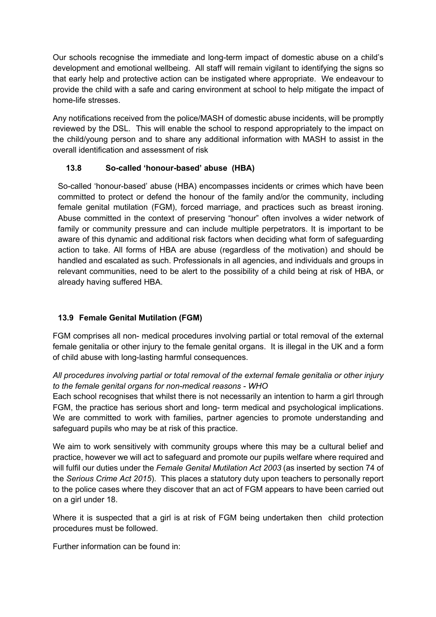Our schools recognise the immediate and long-term impact of domestic abuse on a child's development and emotional wellbeing. All staff will remain vigilant to identifying the signs so that early help and protective action can be instigated where appropriate. We endeavour to provide the child with a safe and caring environment at school to help mitigate the impact of home-life stresses.

Any notifications received from the police/MASH of domestic abuse incidents, will be promptly reviewed by the DSL. This will enable the school to respond appropriately to the impact on the child/young person and to share any additional information with MASH to assist in the overall identification and assessment of risk

# **13.8 So-called 'honour-based' abuse (HBA)**

So-called 'honour-based' abuse (HBA) encompasses incidents or crimes which have been committed to protect or defend the honour of the family and/or the community, including female genital mutilation (FGM), forced marriage, and practices such as breast ironing. Abuse committed in the context of preserving "honour" often involves a wider network of family or community pressure and can include multiple perpetrators. It is important to be aware of this dynamic and additional risk factors when deciding what form of safeguarding action to take. All forms of HBA are abuse (regardless of the motivation) and should be handled and escalated as such. Professionals in all agencies, and individuals and groups in relevant communities, need to be alert to the possibility of a child being at risk of HBA, or already having suffered HBA.

# **13.9 Female Genital Mutilation (FGM)**

FGM comprises all non- medical procedures involving partial or total removal of the external female genitalia or other injury to the female genital organs. It is illegal in the UK and a form of child abuse with long-lasting harmful consequences.

# *All procedures involving partial or total removal of the external female genitalia or other injury to the female genital organs for non-medical reasons - WHO*

Each school recognises that whilst there is not necessarily an intention to harm a girl through FGM, the practice has serious short and long- term medical and psychological implications. We are committed to work with families, partner agencies to promote understanding and safeguard pupils who may be at risk of this practice.

We aim to work sensitively with community groups where this may be a cultural belief and practice, however we will act to safeguard and promote our pupils welfare where required and will fulfil our duties under the *Female Genital Mutilation Act 2003* (as inserted by section 74 of the *Serious Crime Act 2015*). This places a statutory duty upon teachers to personally report to the police cases where they discover that an act of FGM appears to have been carried out on a girl under 18.

Where it is suspected that a girl is at risk of FGM being undertaken then child protection procedures must be followed.

Further information can be found in: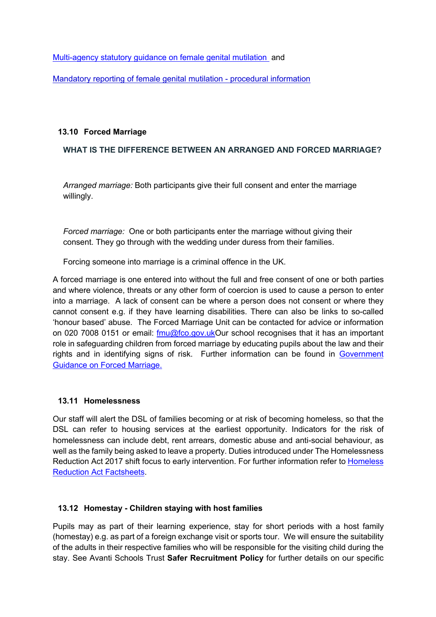Multi-agency statutory guidance on female genital mutilation and

Mandatory reporting of female genital mutilation - procedural information

#### **13.10 Forced Marriage**

#### **WHAT IS THE DIFFERENCE BETWEEN AN ARRANGED AND FORCED MARRIAGE?**

*Arranged marriage:* Both participants give their full consent and enter the marriage willingly.

*Forced marriage:* One or both participants enter the marriage without giving their consent. They go through with the wedding under duress from their families.

Forcing someone into marriage is a criminal offence in the UK.

A forced marriage is one entered into without the full and free consent of one or both parties and where violence, threats or any other form of coercion is used to cause a person to enter into a marriage. A lack of consent can be where a person does not consent or where they cannot consent e.g. if they have learning disabilities. There can also be links to so-called 'honour based' abuse. The Forced Marriage Unit can be contacted for advice or information on 020 7008 0151 or email: fmu@fco.gov.ukOur school recognises that it has an important role in safeguarding children from forced marriage by educating pupils about the law and their rights and in identifying signs of risk. Further information can be found in Government Guidance on Forced Marriage.

#### **13.11 Homelessness**

Our staff will alert the DSL of families becoming or at risk of becoming homeless, so that the DSL can refer to housing services at the earliest opportunity. Indicators for the risk of homelessness can include debt, rent arrears, domestic abuse and anti-social behaviour, as well as the family being asked to leave a property. Duties introduced under The Homelessness Reduction Act 2017 shift focus to early intervention. For further information refer to Homeless Reduction Act Factsheets.

#### **13.12 Homestay - Children staying with host families**

Pupils may as part of their learning experience, stay for short periods with a host family (homestay) e.g. as part of a foreign exchange visit or sports tour. We will ensure the suitability of the adults in their respective families who will be responsible for the visiting child during the stay. See Avanti Schools Trust **Safer Recruitment Policy** for further details on our specific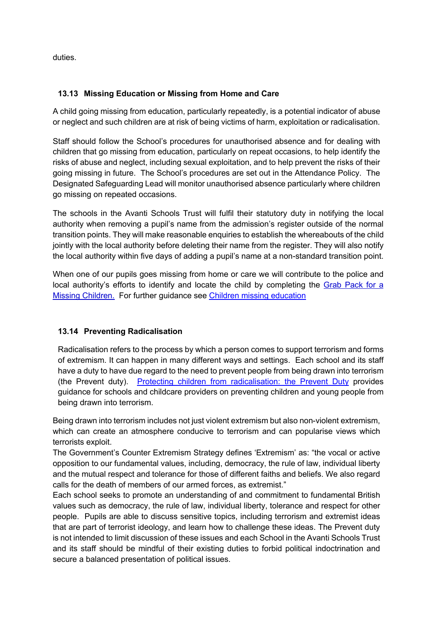duties.

# **13.13 Missing Education or Missing from Home and Care**

A child going missing from education, particularly repeatedly, is a potential indicator of abuse or neglect and such children are at risk of being victims of harm, exploitation or radicalisation.

Staff should follow the School's procedures for unauthorised absence and for dealing with children that go missing from education, particularly on repeat occasions, to help identify the risks of abuse and neglect, including sexual exploitation, and to help prevent the risks of their going missing in future. The School's procedures are set out in the Attendance Policy. The Designated Safeguarding Lead will monitor unauthorised absence particularly where children go missing on repeated occasions.

The schools in the Avanti Schools Trust will fulfil their statutory duty in notifying the local authority when removing a pupil's name from the admission's register outside of the normal transition points. They will make reasonable enquiries to establish the whereabouts of the child jointly with the local authority before deleting their name from the register. They will also notify the local authority within five days of adding a pupil's name at a non-standard transition point.

When one of our pupils goes missing from home or care we will contribute to the police and local authority's efforts to identify and locate the child by completing the Grab Pack for a Missing Children. For further guidance see Children missing education

## **13.14 Preventing Radicalisation**

Radicalisation refers to the process by which a person comes to support terrorism and forms of extremism. It can happen in many different ways and settings. Each school and its staff have a duty to have due regard to the need to prevent people from being drawn into terrorism (the Prevent duty). Protecting children from radicalisation: the Prevent Duty provides guidance for schools and childcare providers on preventing children and young people from being drawn into terrorism.

Being drawn into terrorism includes not just violent extremism but also non-violent extremism, which can create an atmosphere conducive to terrorism and can popularise views which terrorists exploit.

The Government's Counter Extremism Strategy defines 'Extremism' as: "the vocal or active opposition to our fundamental values, including, democracy, the rule of law, individual liberty and the mutual respect and tolerance for those of different faiths and beliefs. We also regard calls for the death of members of our armed forces, as extremist."

Each school seeks to promote an understanding of and commitment to fundamental British values such as democracy, the rule of law, individual liberty, tolerance and respect for other people. Pupils are able to discuss sensitive topics, including terrorism and extremist ideas that are part of terrorist ideology, and learn how to challenge these ideas. The Prevent duty is not intended to limit discussion of these issues and each School in the Avanti Schools Trust and its staff should be mindful of their existing duties to forbid political indoctrination and secure a balanced presentation of political issues.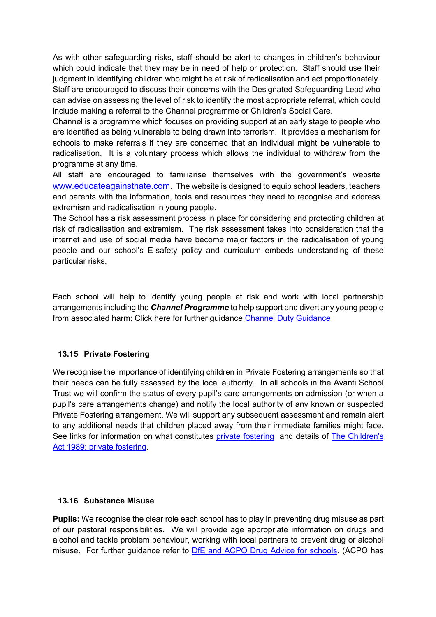As with other safeguarding risks, staff should be alert to changes in children's behaviour which could indicate that they may be in need of help or protection. Staff should use their judgment in identifying children who might be at risk of radicalisation and act proportionately. Staff are encouraged to discuss their concerns with the Designated Safeguarding Lead who can advise on assessing the level of risk to identify the most appropriate referral, which could include making a referral to the Channel programme or Children's Social Care.

Channel is a programme which focuses on providing support at an early stage to people who are identified as being vulnerable to being drawn into terrorism. It provides a mechanism for schools to make referrals if they are concerned that an individual might be vulnerable to radicalisation. It is a voluntary process which allows the individual to withdraw from the programme at any time.

All staff are encouraged to familiarise themselves with the government's website www.educateagainsthate.com. The website is designed to equip school leaders, teachers and parents with the information, tools and resources they need to recognise and address extremism and radicalisation in young people.

The School has a risk assessment process in place for considering and protecting children at risk of radicalisation and extremism. The risk assessment takes into consideration that the internet and use of social media have become major factors in the radicalisation of young people and our school's E-safety policy and curriculum embeds understanding of these particular risks.

Each school will help to identify young people at risk and work with local partnership arrangements including the *Channel Programme* to help support and divert any young people from associated harm: Click here for further guidance Channel Duty Guidance

## **13.15 Private Fostering**

We recognise the importance of identifying children in Private Fostering arrangements so that their needs can be fully assessed by the local authority. In all schools in the Avanti School Trust we will confirm the status of every pupil's care arrangements on admission (or when a pupil's care arrangements change) and notify the local authority of any known or suspected Private Fostering arrangement. We will support any subsequent assessment and remain alert to any additional needs that children placed away from their immediate families might face. See links for information on what constitutes private fostering and details of The Children's Act 1989: private fostering.

#### **13.16 Substance Misuse**

**Pupils:** We recognise the clear role each school has to play in preventing drug misuse as part of our pastoral responsibilities. We will provide age appropriate information on drugs and alcohol and tackle problem behaviour, working with local partners to prevent drug or alcohol misuse. For further guidance refer to **DfE** and ACPO Drug Advice for schools. (ACPO has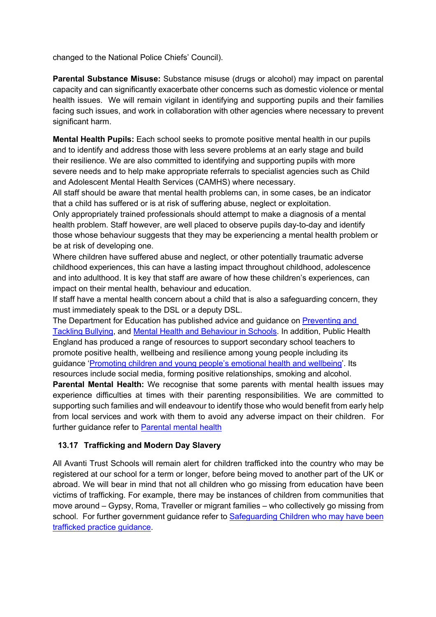changed to the National Police Chiefs' Council).

**Parental Substance Misuse:** Substance misuse (drugs or alcohol) may impact on parental capacity and can significantly exacerbate other concerns such as domestic violence or mental health issues. We will remain vigilant in identifying and supporting pupils and their families facing such issues, and work in collaboration with other agencies where necessary to prevent significant harm.

**Mental Health Pupils:** Each school seeks to promote positive mental health in our pupils and to identify and address those with less severe problems at an early stage and build their resilience. We are also committed to identifying and supporting pupils with more severe needs and to help make appropriate referrals to specialist agencies such as Child and Adolescent Mental Health Services (CAMHS) where necessary.

All staff should be aware that mental health problems can, in some cases, be an indicator that a child has suffered or is at risk of suffering abuse, neglect or exploitation.

Only appropriately trained professionals should attempt to make a diagnosis of a mental health problem. Staff however, are well placed to observe pupils day-to-day and identify those whose behaviour suggests that they may be experiencing a mental health problem or be at risk of developing one.

Where children have suffered abuse and neglect, or other potentially traumatic adverse childhood experiences, this can have a lasting impact throughout childhood, adolescence and into adulthood. It is key that staff are aware of how these children's experiences, can impact on their mental health, behaviour and education.

If staff have a mental health concern about a child that is also a safeguarding concern, they must immediately speak to the DSL or a deputy DSL.

The Department for Education has published advice and guidance on Preventing and Tackling Bullying, and Mental Health and Behaviour in Schools. In addition, Public Health England has produced a range of resources to support secondary school teachers to promote positive health, wellbeing and resilience among young people including its guidance 'Promoting children and young people's emotional health and wellbeing'. Its resources include social media, forming positive relationships, smoking and alcohol.

**Parental Mental Health:** We recognise that some parents with mental health issues may experience difficulties at times with their parenting responsibilities. We are committed to supporting such families and will endeavour to identify those who would benefit from early help from local services and work with them to avoid any adverse impact on their children. For further guidance refer to Parental mental health

#### **13.17 Trafficking and Modern Day Slavery**

All Avanti Trust Schools will remain alert for children trafficked into the country who may be registered at our school for a term or longer, before being moved to another part of the UK or abroad. We will bear in mind that not all children who go missing from education have been victims of trafficking. For example, there may be instances of children from communities that move around – Gypsy, Roma, Traveller or migrant families – who collectively go missing from school. For further government guidance refer to Safeguarding Children who may have been trafficked practice guidance.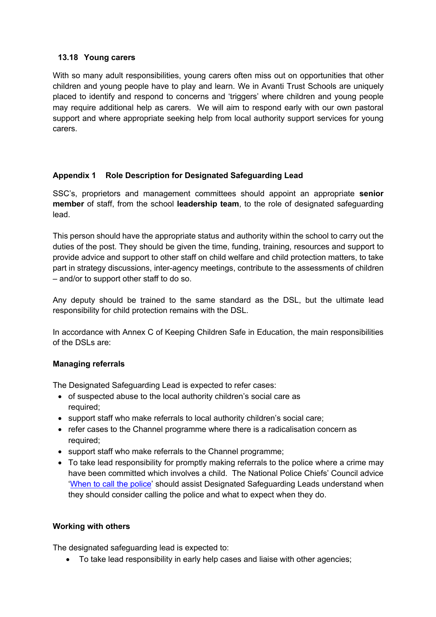#### **13.18 Young carers**

With so many adult responsibilities, young carers often miss out on opportunities that other children and young people have to play and learn. We in Avanti Trust Schools are uniquely placed to identify and respond to concerns and 'triggers' where children and young people may require additional help as carers. We will aim to respond early with our own pastoral support and where appropriate seeking help from local authority support services for young carers.

## **Appendix 1 Role Description for Designated Safeguarding Lead**

SSC's, proprietors and management committees should appoint an appropriate **senior member** of staff, from the school **leadership team**, to the role of designated safeguarding lead.

This person should have the appropriate status and authority within the school to carry out the duties of the post. They should be given the time, funding, training, resources and support to provide advice and support to other staff on child welfare and child protection matters, to take part in strategy discussions, inter-agency meetings, contribute to the assessments of children – and/or to support other staff to do so.

Any deputy should be trained to the same standard as the DSL, but the ultimate lead responsibility for child protection remains with the DSL.

In accordance with Annex C of Keeping Children Safe in Education, the main responsibilities of the DSLs are:

## **Managing referrals**

The Designated Safeguarding Lead is expected to refer cases:

- of suspected abuse to the local authority children's social care as required;
- support staff who make referrals to local authority children's social care;
- refer cases to the Channel programme where there is a radicalisation concern as required;
- support staff who make referrals to the Channel programme;
- To take lead responsibility for promptly making referrals to the police where a crime may have been committed which involves a child. The National Police Chiefs' Council advice 'When to call the police' should assist Designated Safeguarding Leads understand when they should consider calling the police and what to expect when they do.

## **Working with others**

The designated safeguarding lead is expected to:

• To take lead responsibility in early help cases and liaise with other agencies;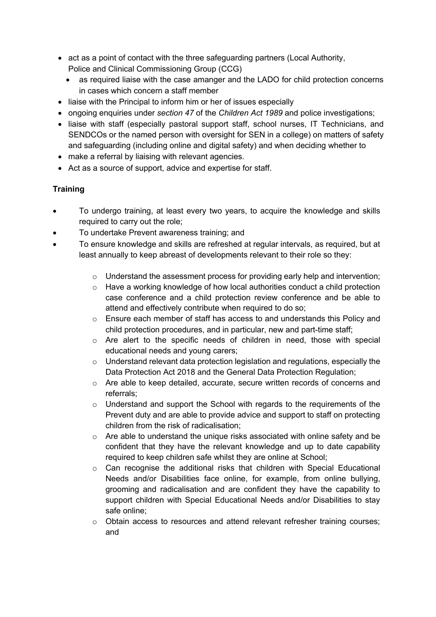- act as a point of contact with the three safeguarding partners (Local Authority, Police and Clinical Commissioning Group (CCG)
	- as required liaise with the case amanger and the LADO for child protection concerns in cases which concern a staff member
- liaise with the Principal to inform him or her of issues especially
- ongoing enquiries under *section 47* of the *Children Act 1989* and police investigations;
- liaise with staff (especially pastoral support staff, school nurses, IT Technicians, and SENDCOs or the named person with oversight for SEN in a college) on matters of safety and safeguarding (including online and digital safety) and when deciding whether to
- make a referral by liaising with relevant agencies.
- Act as a source of support, advice and expertise for staff.

#### **Training**

- To undergo training, at least every two years, to acquire the knowledge and skills required to carry out the role;
- To undertake Prevent awareness training; and
- To ensure knowledge and skills are refreshed at regular intervals, as required, but at least annually to keep abreast of developments relevant to their role so they:
	- o Understand the assessment process for providing early help and intervention;
	- o Have a working knowledge of how local authorities conduct a child protection case conference and a child protection review conference and be able to attend and effectively contribute when required to do so;
	- o Ensure each member of staff has access to and understands this Policy and child protection procedures, and in particular, new and part-time staff;
	- o Are alert to the specific needs of children in need, those with special educational needs and young carers;
	- $\circ$  Understand relevant data protection legislation and regulations, especially the Data Protection Act 2018 and the General Data Protection Regulation;
	- $\circ$  Are able to keep detailed, accurate, secure written records of concerns and referrals;
	- o Understand and support the School with regards to the requirements of the Prevent duty and are able to provide advice and support to staff on protecting children from the risk of radicalisation;
	- o Are able to understand the unique risks associated with online safety and be confident that they have the relevant knowledge and up to date capability required to keep children safe whilst they are online at School;
	- o Can recognise the additional risks that children with Special Educational Needs and/or Disabilities face online, for example, from online bullying, grooming and radicalisation and are confident they have the capability to support children with Special Educational Needs and/or Disabilities to stay safe online;
	- o Obtain access to resources and attend relevant refresher training courses; and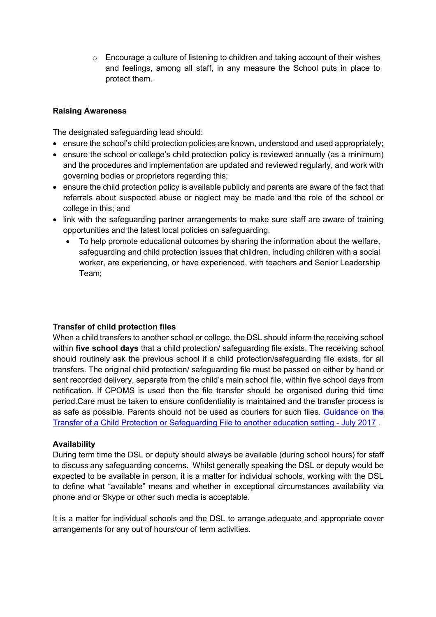$\circ$  Encourage a culture of listening to children and taking account of their wishes and feelings, among all staff, in any measure the School puts in place to protect them.

#### **Raising Awareness**

The designated safeguarding lead should:

- ensure the school's child protection policies are known, understood and used appropriately;
- ensure the school or college's child protection policy is reviewed annually (as a minimum) and the procedures and implementation are updated and reviewed regularly, and work with governing bodies or proprietors regarding this;
- ensure the child protection policy is available publicly and parents are aware of the fact that referrals about suspected abuse or neglect may be made and the role of the school or college in this; and
- link with the safeguarding partner arrangements to make sure staff are aware of training opportunities and the latest local policies on safeguarding.
	- To help promote educational outcomes by sharing the information about the welfare, safeguarding and child protection issues that children, including children with a social worker, are experiencing, or have experienced, with teachers and Senior Leadership Team;

#### **Transfer of child protection files**

When a child transfers to another school or college, the DSL should inform the receiving school within **five school days** that a child protection/ safeguarding file exists. The receiving school should routinely ask the previous school if a child protection/safeguarding file exists, for all transfers. The original child protection/ safeguarding file must be passed on either by hand or sent recorded delivery, separate from the child's main school file, within five school days from notification. If CPOMS is used then the file transfer should be organised during thid time period.Care must be taken to ensure confidentiality is maintained and the transfer process is as safe as possible. Parents should not be used as couriers for such files. Guidance on the Transfer of a Child Protection or Safeguarding File to another education setting - July 2017 .

#### **Availability**

During term time the DSL or deputy should always be available (during school hours) for staff to discuss any safeguarding concerns. Whilst generally speaking the DSL or deputy would be expected to be available in person, it is a matter for individual schools, working with the DSL to define what "available" means and whether in exceptional circumstances availability via phone and or Skype or other such media is acceptable.

It is a matter for individual schools and the DSL to arrange adequate and appropriate cover arrangements for any out of hours/our of term activities.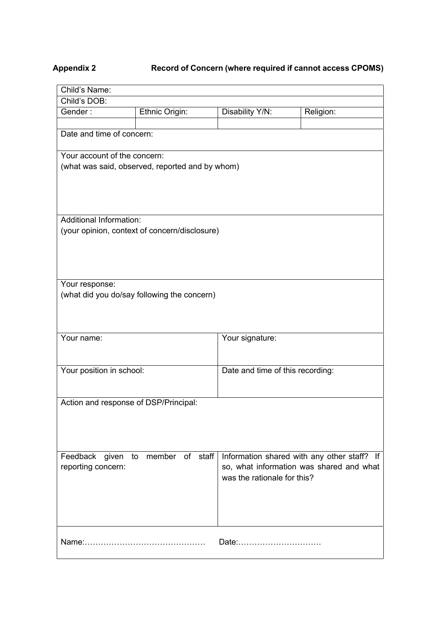# **Appendix 2 Record of Concern (where required if cannot access CPOMS)**

| Child's Name:                         |                                                 |                                  |                                             |
|---------------------------------------|-------------------------------------------------|----------------------------------|---------------------------------------------|
| Child's DOB:                          |                                                 |                                  |                                             |
| Gender:                               | Ethnic Origin:                                  | Disability Y/N:                  | Religion:                                   |
|                                       |                                                 |                                  |                                             |
| Date and time of concern:             |                                                 |                                  |                                             |
| Your account of the concern:          |                                                 |                                  |                                             |
|                                       | (what was said, observed, reported and by whom) |                                  |                                             |
|                                       |                                                 |                                  |                                             |
|                                       |                                                 |                                  |                                             |
|                                       |                                                 |                                  |                                             |
| <b>Additional Information:</b>        |                                                 |                                  |                                             |
|                                       | (your opinion, context of concern/disclosure)   |                                  |                                             |
|                                       |                                                 |                                  |                                             |
|                                       |                                                 |                                  |                                             |
|                                       |                                                 |                                  |                                             |
|                                       |                                                 |                                  |                                             |
| Your response:                        |                                                 |                                  |                                             |
|                                       | (what did you do/say following the concern)     |                                  |                                             |
|                                       |                                                 |                                  |                                             |
|                                       |                                                 |                                  |                                             |
| Your name:                            |                                                 | Your signature:                  |                                             |
|                                       |                                                 |                                  |                                             |
|                                       |                                                 |                                  |                                             |
| Your position in school:              |                                                 | Date and time of this recording: |                                             |
|                                       |                                                 |                                  |                                             |
|                                       |                                                 |                                  |                                             |
| Action and response of DSP/Principal: |                                                 |                                  |                                             |
|                                       |                                                 |                                  |                                             |
|                                       |                                                 |                                  |                                             |
|                                       |                                                 |                                  |                                             |
| Feedback given                        | member of staff<br>to                           |                                  | Information shared with any other staff? If |
| reporting concern:                    |                                                 |                                  | so, what information was shared and what    |
|                                       |                                                 | was the rationale for this?      |                                             |
|                                       |                                                 |                                  |                                             |
|                                       |                                                 |                                  |                                             |
|                                       |                                                 |                                  |                                             |
|                                       |                                                 |                                  |                                             |
|                                       |                                                 | Date:                            |                                             |
|                                       |                                                 |                                  |                                             |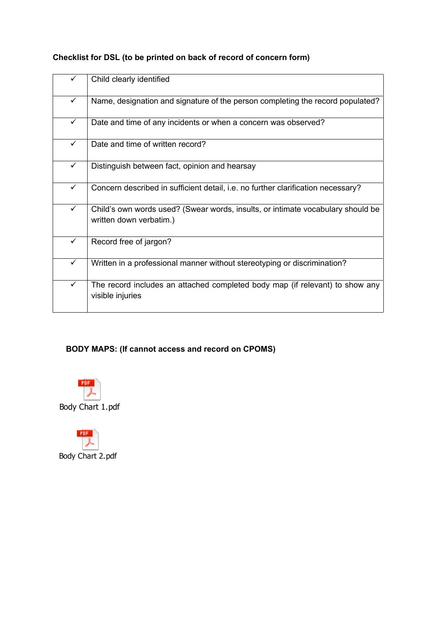|              | Child clearly identified                                                                                   |
|--------------|------------------------------------------------------------------------------------------------------------|
| $\checkmark$ | Name, designation and signature of the person completing the record populated?                             |
| ✓            | Date and time of any incidents or when a concern was observed?                                             |
| ✓            | Date and time of written record?                                                                           |
| $\checkmark$ | Distinguish between fact, opinion and hearsay                                                              |
| ✓            | Concern described in sufficient detail, i.e. no further clarification necessary?                           |
| $\checkmark$ | Child's own words used? (Swear words, insults, or intimate vocabulary should be<br>written down verbatim.) |
| $\checkmark$ | Record free of jargon?                                                                                     |
| ✓            | Written in a professional manner without stereotyping or discrimination?                                   |
| $\checkmark$ | The record includes an attached completed body map (if relevant) to show any<br>visible injuries           |

# **Checklist for DSL (to be printed on back of record of concern form)**

# **BODY MAPS: (If cannot access and record on CPOMS)**



Body Chart 1.pdf

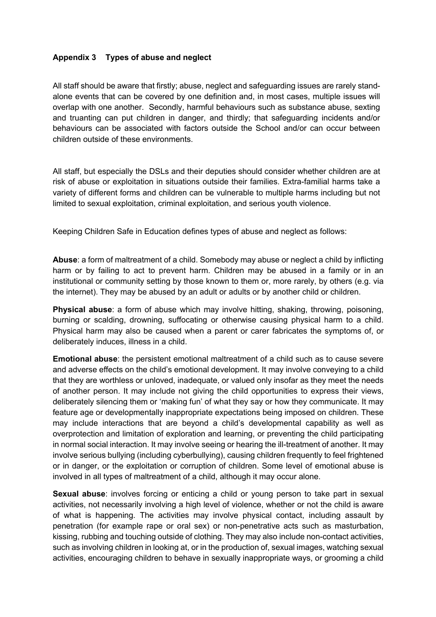#### **Appendix 3 Types of abuse and neglect**

All staff should be aware that firstly; abuse, neglect and safeguarding issues are rarely standalone events that can be covered by one definition and, in most cases, multiple issues will overlap with one another. Secondly, harmful behaviours such as substance abuse, sexting and truanting can put children in danger, and thirdly; that safeguarding incidents and/or behaviours can be associated with factors outside the School and/or can occur between children outside of these environments.

All staff, but especially the DSLs and their deputies should consider whether children are at risk of abuse or exploitation in situations outside their families. Extra-familial harms take a variety of different forms and children can be vulnerable to multiple harms including but not limited to sexual exploitation, criminal exploitation, and serious youth violence.

Keeping Children Safe in Education defines types of abuse and neglect as follows:

**Abuse**: a form of maltreatment of a child. Somebody may abuse or neglect a child by inflicting harm or by failing to act to prevent harm. Children may be abused in a family or in an institutional or community setting by those known to them or, more rarely, by others (e.g. via the internet). They may be abused by an adult or adults or by another child or children.

**Physical abuse**: a form of abuse which may involve hitting, shaking, throwing, poisoning, burning or scalding, drowning, suffocating or otherwise causing physical harm to a child. Physical harm may also be caused when a parent or carer fabricates the symptoms of, or deliberately induces, illness in a child.

**Emotional abuse**: the persistent emotional maltreatment of a child such as to cause severe and adverse effects on the child's emotional development. It may involve conveying to a child that they are worthless or unloved, inadequate, or valued only insofar as they meet the needs of another person. It may include not giving the child opportunities to express their views, deliberately silencing them or 'making fun' of what they say or how they communicate. It may feature age or developmentally inappropriate expectations being imposed on children. These may include interactions that are beyond a child's developmental capability as well as overprotection and limitation of exploration and learning, or preventing the child participating in normal social interaction. It may involve seeing or hearing the ill-treatment of another. It may involve serious bullying (including cyberbullying), causing children frequently to feel frightened or in danger, or the exploitation or corruption of children. Some level of emotional abuse is involved in all types of maltreatment of a child, although it may occur alone.

**Sexual abuse**: involves forcing or enticing a child or young person to take part in sexual activities, not necessarily involving a high level of violence, whether or not the child is aware of what is happening. The activities may involve physical contact, including assault by penetration (for example rape or oral sex) or non-penetrative acts such as masturbation, kissing, rubbing and touching outside of clothing. They may also include non-contact activities, such as involving children in looking at, or in the production of, sexual images, watching sexual activities, encouraging children to behave in sexually inappropriate ways, or grooming a child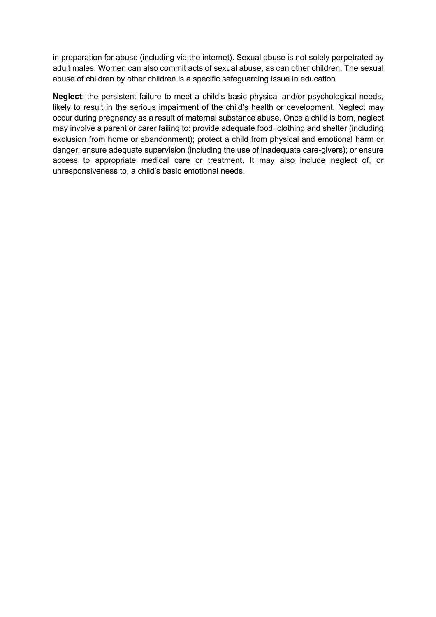in preparation for abuse (including via the internet). Sexual abuse is not solely perpetrated by adult males. Women can also commit acts of sexual abuse, as can other children. The sexual abuse of children by other children is a specific safeguarding issue in education

**Neglect**: the persistent failure to meet a child's basic physical and/or psychological needs, likely to result in the serious impairment of the child's health or development. Neglect may occur during pregnancy as a result of maternal substance abuse. Once a child is born, neglect may involve a parent or carer failing to: provide adequate food, clothing and shelter (including exclusion from home or abandonment); protect a child from physical and emotional harm or danger; ensure adequate supervision (including the use of inadequate care-givers); or ensure access to appropriate medical care or treatment. It may also include neglect of, or unresponsiveness to, a child's basic emotional needs.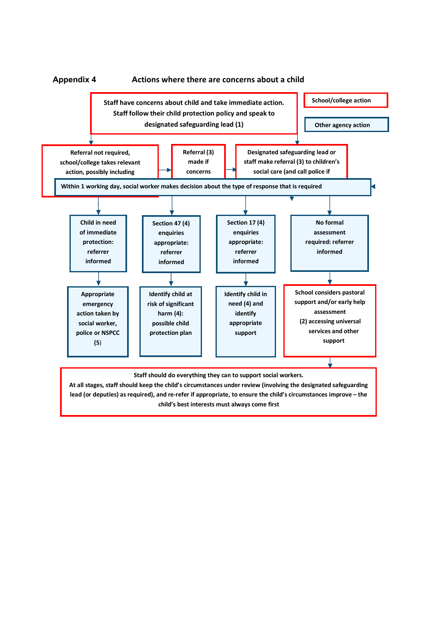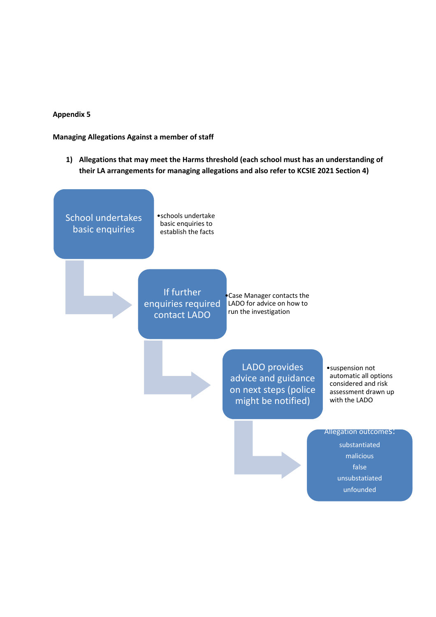#### **Appendix 5**

**Managing Allegations Against a member of staff**

**1) Allegations that may meet the Harms threshold (each school must has an understanding of their LA arrangements for managing allegations and also refer to KCSIE 2021 Section 4)**

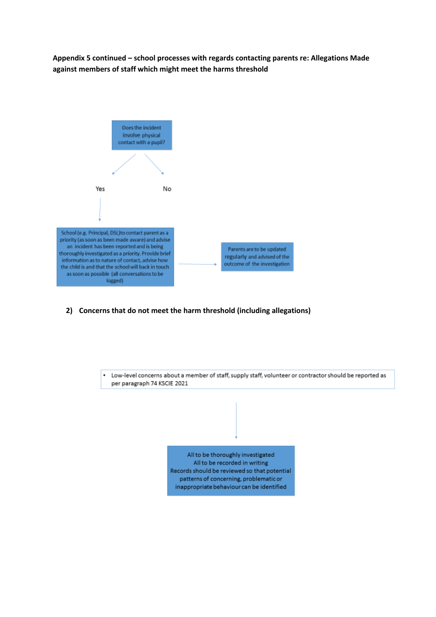**Appendix 5 continued – school processes with regards contacting parents re: Allegations Made against members of staff which might meet the harms threshold** 



**2) Concerns that do not meet the harm threshold (including allegations)**



All to be thoroughly investigated All to be recorded in writing Records should be reviewed so that potential patterns of concerning, problematic or inappropriate behaviour can be identified